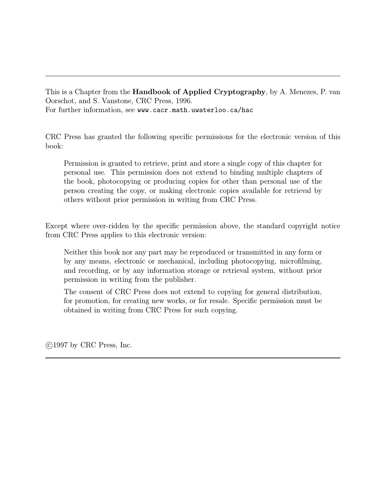This is a Chapter from the **Handbook of Applied Cryptography**, by A. Menezes, P. van Oorschot, and S. Vanstone, CRC Press, 1996. For further information, see www.cacr.math.uwaterloo.ca/hac

CRC Press has granted the following specific permissions for the electronic version of this book:

Permission is granted to retrieve, print and store a single copy of this chapter for personal use. This permission does not extend to binding multiple chapters of the book, photocopying or producing copies for other than personal use of the person creating the copy, or making electronic copies available for retrieval by others without prior permission in writing from CRC Press.

Except where over-ridden by the specific permission above, the standard copyright notice from CRC Press applies to this electronic version:

Neither this book nor any part may be reproduced or transmitted in any form or by any means, electronic or mechanical, including photocopying, microfilming, and recording, or by any information storage or retrieval system, without prior permission in writing from the publisher.

The consent of CRC Press does not extend to copying for general distribution, for promotion, for creating new works, or for resale. Specific permission must be obtained in writing from CRC Press for such copying.

c 1997 by CRC Press, Inc.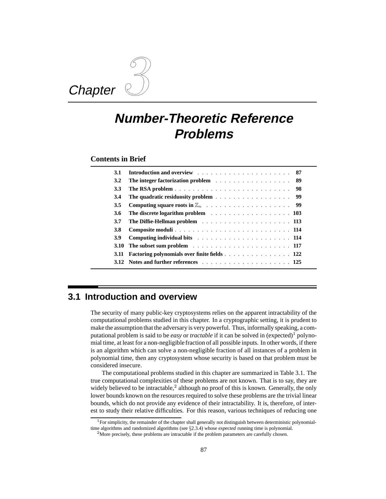# **Chapter**

## **Number-Theoretic Reference Problems**

**Contents in Brief**

| 3.1        |                                                     |
|------------|-----------------------------------------------------|
| 3.2        | -89                                                 |
| <b>3.3</b> | -98                                                 |
| 3.4        | -99                                                 |
| 3.5        | -99                                                 |
| 3.6        | The discrete logarithm problem 103                  |
| 3.7        |                                                     |
| <b>3.8</b> |                                                     |
| 3.9        |                                                     |
|            |                                                     |
| 3.11       | <b>Factoring polynomials over finite fields</b> 122 |
|            |                                                     |

### **3.1 Introduction and overview**

The security of many public-key cryptosystems relies on the apparent intractability of the computational problems studied in this chapter. In a cryptographic setting, it is prudent to make the assumption that the adversary is very powerful. Thus, informally speaking, a computational problem is said to be *easy* or *tractable* if it can be solved in  $(expected)^1$  polynomial time, at least for a non-negligible fraction of all possible inputs. In other words, if there is an algorithm which can solve a non-negligible fraction of all instances of a problem in polynomial time, then any cryptosystem whose security is based on that problem must be considered insecure.

The computational problems studied in this chapter are summarized in Table 3.1. The true computational complexities of these problems are not known. That is to say, they are widely believed to be intractable, $^2$  although no proof of this is known. Generally, the only lower bounds known on the resources required to solve these problems are the trivial linear bounds, which do not provide any evidence of their intractability. It is, therefore, of interest to study their relative difficulties. For this reason, various techniques of reducing one

 $1$ For simplicity, the remainder of the chapter shall generally not distinguish between deterministic polynomialtime algorithms and randomized algorithms (see §2.3.4) whose *expected* running time is polynomial.

<sup>&</sup>lt;sup>2</sup>More precisely, these problems are intractable if the problem parameters are carefully chosen.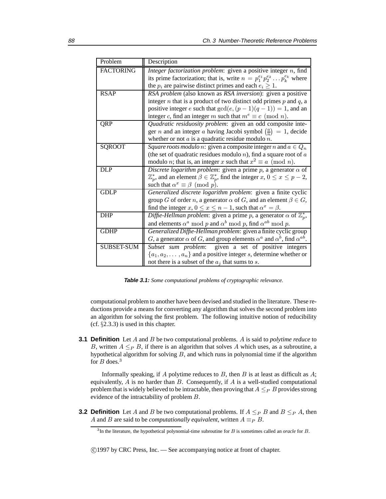| Problem           | Description                                                                                            |
|-------------------|--------------------------------------------------------------------------------------------------------|
| <b>FACTORING</b>  | Integer factorization problem: given a positive integer $n$ , find                                     |
|                   | its prime factorization; that is, write $n = p_1^{e_1} p_2^{e_2} \dots p_k^{e_k}$ where                |
|                   | the $p_i$ are pairwise distinct primes and each $e_i \geq 1$ .                                         |
| <b>RSAP</b>       | RSA problem (also known as RSA inversion): given a positive                                            |
|                   | integer $n$ that is a product of two distinct odd primes $p$ and $q$ , a                               |
|                   | positive integer e such that $gcd(e, (p-1)(q-1)) = 1$ , and an                                         |
|                   | integer c, find an integer m such that $m^e \equiv c \pmod{n}$ .                                       |
| QRP               | Quadratic residuosity problem: given an odd composite inte-                                            |
|                   | ger <i>n</i> and an integer <i>a</i> having Jacobi symbol $\left(\frac{a}{n}\right) = 1$ , decide      |
|                   | whether or not $a$ is a quadratic residue modulo $n$ .                                                 |
| <b>SQROOT</b>     | Square roots modulo n: given a composite integer n and $a \in Q_n$                                     |
|                   | (the set of quadratic residues modulo $n$ ), find a square root of $a$                                 |
|                   | modulo <i>n</i> ; that is, an integer <i>x</i> such that $x^2 \equiv a \pmod{n}$ .                     |
| <b>DLP</b>        | Discrete logarithm problem: given a prime $p$ , a generator $\alpha$ of                                |
|                   | $\mathbb{Z}_p^*$ , and an element $\beta \in \mathbb{Z}_p^*$ , find the integer $x, 0 \le x \le p-2$ , |
|                   | such that $\alpha^x \equiv \beta \pmod{p}$ .                                                           |
| <b>GDLP</b>       | Generalized discrete logarithm problem: given a finite cyclic                                          |
|                   | group G of order n, a generator $\alpha$ of G, and an element $\beta \in G$ ,                          |
|                   | find the integer x, $0 \le x \le n - 1$ , such that $\alpha^x = \beta$ .                               |
| <b>DHP</b>        | Diffie-Hellman problem: given a prime p, a generator $\alpha$ of $\mathbb{Z}_p^*$ ,                    |
|                   | and elements $\alpha^a \mod p$ and $\alpha^b \mod p$ , find $\alpha^{ab} \mod p$ .                     |
| <b>GDHP</b>       | Generalized Diffie-Hellman problem: given a finite cyclic group                                        |
|                   | G, a generator $\alpha$ of G, and group elements $\alpha^a$ and $\alpha^b$ , find $\alpha^{ab}$ .      |
| <b>SUBSET-SUM</b> | Subset sum problem: given a set of positive integers                                                   |
|                   | $\{a_1, a_2, \ldots, a_n\}$ and a positive integer s, determine whether or                             |
|                   | not there is a subset of the $a_j$ that sums to s.                                                     |

**Table 3.1:** *Some computational problems of cryptographic relevance.*

computational problem to another have been devised and studied in the literature. These reductions provide a means for converting any algorithm that solves the second problem into an algorithm for solving the first problem. The following intuitive notion of reducibility (cf. §2.3.3) is used in this chapter.

**3.1 Definition** Let A and B be two computational problems. A is said to *polytime reduce* to B, written  $A \leq_P B$ , if there is an algorithm that solves A which uses, as a subroutine, a hypothetical algorithm for solving  $B$ , and which runs in polynomial time if the algorithm for  $B$  does.<sup>3</sup>

Informally speaking, if  $A$  polytime reduces to  $B$ , then  $B$  is at least as difficult as  $A$ ; equivalently,  $A$  is no harder than  $B$ . Consequently, if  $A$  is a well-studied computational problem that is widely believed to be intractable, then proving that  $A \leq_P B$  provides strong evidence of the intractability of problem B.

**3.2 Definition** Let A and B be two computational problems. If  $A \leq_P B$  and  $B \leq_P A$ , then A and B are said to be *computationally equivalent*, written  $A \equiv_P B$ .

<sup>3</sup>In the literature, the hypothetical polynomial-time subroutine for B is sometimes called an *oracle* for B.

c 1997 by CRC Press, Inc. — See accompanying notice at front of chapter.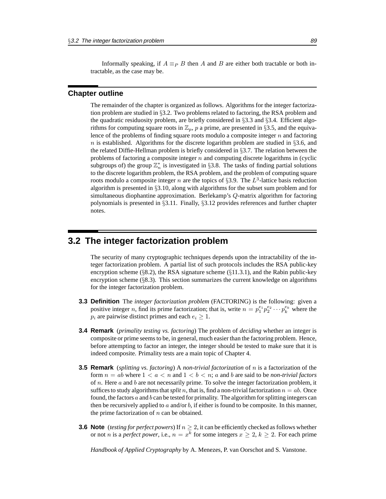Informally speaking, if  $A \equiv_P B$  then A and B are either both tractable or both intractable, as the case may be.

### **Chapter outline**

The remainder of the chapter is organized as follows. Algorithms for the integer factorization problem are studied in §3.2. Two problems related to factoring, the RSA problem and the quadratic residuosity problem, are briefly considered in §3.3 and §3.4. Efficient algorithms for computing square roots in  $\mathbb{Z}_p$ , p a prime, are presented in §3.5, and the equivalence of the problems of finding square roots modulo a composite integer  $n$  and factoring n is established. Algorithms for the discrete logarithm problem are studied in  $\S 3.6$ , and the related Diffie-Hellman problem is briefly considered in §3.7. The relation between the problems of factoring a composite integer  $n$  and computing discrete logarithms in (cyclic subgroups of) the group  $\mathbb{Z}_n^*$  is investigated in §3.8. The tasks of finding partial solutions to the discrete logarithm problem, the RSA problem, and the problem of computing square roots modulo a composite integer n are the topics of §3.9. The  $L^3$ -lattice basis reduction algorithm is presented in §3.10, along with algorithms for the subset sum problem and for simultaneous diophantine approximation. Berlekamp's Q-matrix algorithm for factoring polynomials is presented in §3.11. Finally, §3.12 provides references and further chapter notes.

### **3.2 The integer factorization problem**

The security of many cryptographic techniques depends upon the intractability of the integer factorization problem. A partial list of such protocols includes the RSA public-key encryption scheme ( $\S$ 8.2), the RSA signature scheme ( $\S$ 11.3.1), and the Rabin public-key encryption scheme  $(\S$ 8.3). This section summarizes the current knowledge on algorithms for the integer factorization problem.

- **3.3 Definition** The *integer factorization problem* (FACTORING) is the following: given a positive integer *n*, find its prime factorization; that is, write  $n = p_1^{e_1} p_2^{e_2} \cdots p_k^{e_k}$  where the  $p_i$  are pairwise distinct primes and each  $e_i \geq 1$ .
- **3.4 Remark** (*primality testing vs. factoring*) The problem of *deciding* whether an integer is composite or prime seems to be, in general, much easier than the factoring problem. Hence, before attempting to factor an integer, the integer should be tested to make sure that it is indeed composite. Primality tests are a main topic of Chapter 4.
- **3.5 Remark** (*splitting vs. factoring*) A *non-trivial factorization* of n is a factorization of the form  $n = ab$  where  $1 < a < n$  and  $1 < b < n$ ; a and b are said to be *non-trivial factors* of n. Here  $\alpha$  and  $\beta$  are not necessarily prime. To solve the integer factorization problem, it suffices to study algorithms that *split* n, that is, find a non-trivial factorization  $n = ab$ . Once found, the factors  $a$  and  $b$  can be tested for primality. The algorithm for splitting integers can then be recursively applied to a and/or  $b$ , if either is found to be composite. In this manner, the prime factorization of  $n$  can be obtained.
- **3.6 Note** (*testing for perfect powers*) If  $n > 2$ , it can be efficiently checked as follows whether or not *n* is a *perfect power*, i.e.,  $n = x^k$  for some integers  $x \ge 2$ ,  $k \ge 2$ . For each prime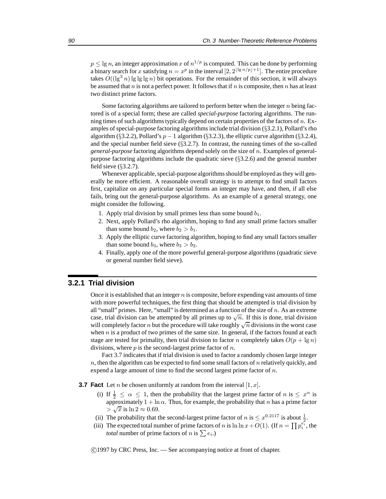$p \le \lg n$ , an integer approximation x of  $n^{1/p}$  is computed. This can be done by performing a binary search for x satisfying  $n = x^p$  in the interval  $[2, 2^{\lfloor \lg n/p \rfloor + 1}]$ . The entire procedure takes  $O((\lg^3 n) \lg \lg \lg n)$  bit operations. For the remainder of this section, it will always be assumed that n is not a perfect power. It follows that if n is composite, then n has at least two distinct prime factors.

Some factoring algorithms are tailored to perform better when the integer  $n$  being factored is of a special form; these are called *special-purpose* factoring algorithms. The running times of such algorithms typically depend on certain properties of the factors of  $n$ . Examples of special-purpose factoring algorithms include trial division (§3.2.1), Pollard's rho algorithm (§3.2.2), Pollard's  $p - 1$  algorithm (§3.2.3), the elliptic curve algorithm (§3.2.4), and the special number field sieve  $(\S 3.2.7)$ . In contrast, the running times of the so-called *general-purpose* factoring algorithms depend solely on the size of n. Examples of generalpurpose factoring algorithms include the quadratic sieve (§3.2.6) and the general number field sieve  $(\S3.2.7)$ .

Whenever applicable, special-purpose algorithms should be employed as they will generally be more efficient. A reasonable overall strategy is to attempt to find small factors first, capitalize on any particular special forms an integer may have, and then, if all else fails, bring out the general-purpose algorithms. As an example of a general strategy, one might consider the following.

- 1. Apply trial division by small primes less than some bound  $b_1$ .
- 2. Next, apply Pollard's rho algorithm, hoping to find any small prime factors smaller than some bound  $b_2$ , where  $b_2 > b_1$ .
- 3. Apply the elliptic curve factoring algorithm, hoping to find any small factors smaller than some bound  $b_3$ , where  $b_3 > b_2$ .
- 4. Finally, apply one of the more powerful general-purpose algorithms (quadratic sieve or general number field sieve).

### **3.2.1 Trial division**

Once it is established that an integer  $n$  is composite, before expending vast amounts of time with more powerful techniques, the first thing that should be attempted is trial division by all "small" primes. Here, "small" is determined as a function of the size of  $n$ . As an extreme case, trial division can be attempted by all primes up to  $\sqrt{n}$ . If this is done, trial division will completely factor *n* but the procedure will take roughly  $\sqrt{n}$  divisions in the worst case when  $n$  is a product of two primes of the same size. In general, if the factors found at each stage are tested for primality, then trial division to factor n completely takes  $O(p + \lg n)$ divisions, where  $p$  is the second-largest prime factor of  $n$ .

Fact 3.7 indicates that if trial division is used to factor a randomly chosen large integer  $n$ , then the algorithm can be expected to find some small factors of  $n$  relatively quickly, and expend a large amount of time to find the second largest prime factor of n.

**3.7 Fact** Let *n* be chosen uniformly at random from the interval  $[1, x]$ .

- (i) If  $\frac{1}{2} \leq \alpha \leq 1$ , then the probability that the largest prime factor of n is  $\leq x^{\alpha}$  is approximately  $1 + \ln \alpha$ . Thus, for example, the probability that n has a prime factor  $> \sqrt{x}$  is  $\ln 2 \approx 0.69$ .
- (ii) The probability that the second-largest prime factor of *n* is  $\leq x^{0.2117}$  is about  $\frac{1}{2}$ .
- (iii) The expected total number of prime factors of n is  $\ln \ln x + O(1)$ . (If  $n = \prod p_i^{e_i}$ , the *total* number of prime factors of *n* is  $\sum e_i$ .)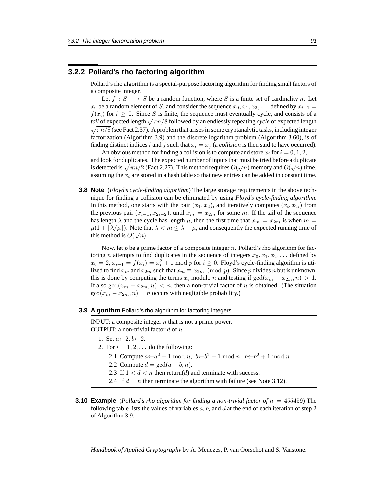### **3.2.2 Pollard's rho factoring algorithm**

Pollard's rho algorithm is a special-purpose factoring algorithm for finding small factors of a composite integer.

Let  $f : S \longrightarrow S$  be a random function, where S is a finite set of cardinality n. Let  $x_0$  be a random element of S, and consider the sequence  $x_0, x_1, x_2, \ldots$  defined by  $x_{i+1} =$  $f(x_i)$  for  $i \geq 0$ . Since S is finite, the sequence must eventually cycle, and consists of a *tail* of expected length  $\sqrt{\pi n/8}$  followed by an endlessly repeating *cycle* of expected length  $\sqrt{\pi n/8}$  (see Fact 2.37). A problem that arises in some cryptanalytic tasks, including integer factorization (Algorithm 3.9) and the discrete logarithm problem (Algorithm 3.60), is of finding distinct indices i and j such that  $x_i = x_j$  (a *collision* is then said to have occurred).

An obvious method for finding a collision is to compute and store  $x_i$  for  $i = 0, 1, 2, \ldots$ and look for duplicates. The expected number of inputs that must be tried before a duplicate and look for displicates. The expected number of inputs that must be tried before a displicate<br>is detected is  $\sqrt{\pi n/2}$  (Fact 2.27). This method requires  $O(\sqrt{n})$  memory and  $O(\sqrt{n})$  time, assuming the  $x_i$  are stored in a hash table so that new entries can be added in constant time.

**3.8 Note** (*Floyd's cycle-finding algorithm*) The large storage requirements in the above technique for finding a collision can be eliminated by using *Floyd's cycle-finding algorithm*. In this method, one starts with the pair  $(x_1, x_2)$ , and iteratively computes  $(x_i, x_{2i})$  from the previous pair  $(x_{i-1}, x_{2i-2})$ , until  $x_m = x_{2m}$  for some m. If the tail of the sequence has length  $\lambda$  and the cycle has length  $\mu$ , then the first time that  $x_m = x_{2m}$  is when  $m =$  $\mu(1 + |\lambda/\mu|)$ . Note that  $\lambda < m \leq \lambda + \mu$ , and consequently the expected running time of  $\mu(1 + \lfloor \lambda / \mu \rfloor)$ . Note the this method is  $O(\sqrt{n})$ .

Now, let p be a prime factor of a composite integer n. Pollard's rho algorithm for factoring *n* attempts to find duplicates in the sequence of integers  $x_0, x_1, x_2, \ldots$  defined by  $x_0 = 2, x_{i+1} = f(x_i) = x_i^2 + 1 \mod p$  for  $i \ge 0$ . Floyd's cycle-finding algorithm is utilized to find  $x_m$  and  $x_{2m}$  such that  $x_m \equiv x_{2m} \pmod{p}$ . Since p divides n but is unknown, this is done by computing the terms  $x_i$  modulo n and testing if  $gcd(x_m - x_{2m}, n) > 1$ . If also  $gcd(x_m - x_{2m}, n) < n$ , then a non-trivial factor of n is obtained. (The situation  $gcd(x_m - x_{2m}, n) = n$  occurs with negligible probability.)

#### **3.9 Algorithm** Pollard's rho algorithm for factoring integers

INPUT: a composite integer  $n$  that is not a prime power. OUTPUT: a non-trivial factor  $d$  of  $n$ .

- 1. Set  $a \leftarrow 2, b \leftarrow 2$ .
- 2. For  $i = 1, 2, \ldots$  do the following:
	- 2.1 Compute  $a \leftarrow a^2 + 1 \mod n$ ,  $b \leftarrow b^2 + 1 \mod n$ ,  $b \leftarrow b^2 + 1 \mod n$ .
	- 2.2 Compute  $d = \gcd(a b, n)$ .
	- 2.3 If  $1 < d < n$  then return(d) and terminate with success.
	- 2.4 If  $d = n$  then terminate the algorithm with failure (see Note 3.12).
- **3.10 Example** (*Pollard's rho algorithm for finding a non-trivial factor of* n = 455459) The following table lists the values of variables  $a, b$ , and  $d$  at the end of each iteration of step 2 of Algorithm 3.9.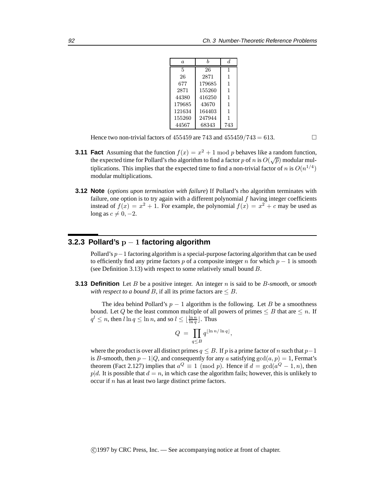| a.     | h      | d.  |
|--------|--------|-----|
| 5      | 26     | 1   |
| 26     | 2871   | 1   |
| 677    | 179685 | 1   |
| 2871   | 155260 | 1   |
| 44380  | 416250 | 1   |
| 179685 | 43670  | 1   |
| 121634 | 164403 | 1   |
| 155260 | 247944 | 1   |
| 44567  | 68343  | 743 |

Hence two non-trivial factors of 455459 are 743 and 455459/743 = 613.

- **3.11 Fact** Assuming that the function  $f(x) = x^2 + 1$  mod p behaves like a random function, the expected time for Pollard's rho algorithm to find a factor p of n is  $O(\sqrt{p})$  modular multiplications. This implies that the expected time to find a non-trivial factor of n is  $O(n^{1/4})$ modular multiplications.
- **3.12 Note** (*options upon termination with failure*) If Pollard's rho algorithm terminates with failure, one option is to try again with a different polynomial  $f$  having integer coefficients instead of  $f(x) = x^2 + 1$ . For example, the polynomial  $f(x) = x^2 + c$  may be used as long as  $c \neq 0, -2$ .

### **3.2.3 Pollard's** p − 1 **factoring algorithm**

Pollard's p−1 factoring algorithm is a special-purpose factoring algorithm that can be used to efficiently find any prime factors p of a composite integer n for which  $p - 1$  is smooth (see Definition 3.13) with respect to some relatively small bound B.

**3.13 Definition** Let B be a positive integer. An integer n is said to be B*-smooth*, or *smooth with respect to a bound* B, if all its prime factors are  $\leq B$ .

The idea behind Pollard's  $p - 1$  algorithm is the following. Let B be a smoothness bound. Let Q be the least common multiple of all powers of primes  $\leq B$  that are  $\leq n$ . If  $q^l \le n$ , then  $l \ln q \le \ln n$ , and so  $l \le \lfloor \frac{\ln n}{\ln q} \rfloor$ . Thus

$$
Q = \prod_{q \leq B} q^{\lfloor \ln n / \ln q \rfloor},
$$

where the product is over all distinct primes  $q \leq B$ . If p is a prime factor of n such that  $p-1$ is B-smooth, then  $p-1|Q$ , and consequently for any a satisfying  $gcd(a, p) = 1$ , Fermat's theorem (Fact 2.127) implies that  $a^Q \equiv 1 \pmod{p}$ . Hence if  $d = \gcd(a^Q - 1, n)$ , then  $p|d$ . It is possible that  $d = n$ , in which case the algorithm fails; however, this is unlikely to occur if  $n$  has at least two large distinct prime factors.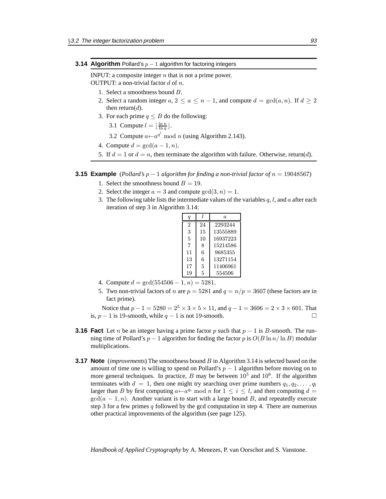#### **3.14 Algorithm** Pollard's  $p - 1$  algorithm for factoring integers

INPUT: a composite integer  $n$  that is not a prime power.

OUTPUT: a non-trivial factor  $d$  of  $n$ .

- 1. Select a smoothness bound B.
- 2. Select a random integer  $a, 2 \le a \le n-1$ , and compute  $d = \gcd(a, n)$ . If  $d \ge 2$ then return $(d)$ .
- 3. For each prime  $q \leq B$  do the following:

3.1 Compute  $l = \lfloor \frac{\ln n}{\ln q} \rfloor$ .

- 3.2 Compute  $a \leftarrow a^{q^t} \mod n$  (using Algorithm 2.143).
- 4. Compute  $d = \gcd(a 1, n)$ .
- 5. If  $d = 1$  or  $d = n$ , then terminate the algorithm with failure. Otherwise, return(d).

### **3.15 Example** (*Pollard's*  $p - 1$  *algorithm for finding a non-trivial factor of*  $n = 19048567$ )

- 1. Select the smoothness bound  $B = 19$ .
- 2. Select the integer  $a = 3$  and compute  $gcd(3, n) = 1$ .
- 3. The following table lists the intermediate values of the variables q, l, and a after each iteration of step 3 in Algorithm 3.14:

| $\boldsymbol{q}$ |    | $\alpha$ |
|------------------|----|----------|
| $\mathfrak{D}$   | 24 | 2293244  |
| 3                | 15 | 13555889 |
| 5                | 10 | 16937223 |
| 7                | 8  | 15214586 |
| 11               | 6  | 9685355  |
| 13               | 6  | 13271154 |
| 17               | 5  | 11406961 |
| 19               | 5  | 554506   |

- 4. Compute  $d = \gcd(554506 1, n) = 5281$ .
- 5. Two non-trivial factors of n are  $p = 5281$  and  $q = n/p = 3607$  (these factors are in fact prime).

Notice that  $p - 1 = 5280 = 2^5 \times 3 \times 5 \times 11$ , and  $q - 1 = 3606 = 2 \times 3 \times 601$ . That is,  $p - 1$  is 19-smooth, while  $q - 1$  is not 19-smooth.  $□$ 

- **3.16 Fact** Let *n* be an integer having a prime factor p such that  $p 1$  is B-smooth. The running time of Pollard's  $p - 1$  algorithm for finding the factor p is  $O(B \ln n / \ln B)$  modular multiplications.
- **3.17 Note** (*improvements*) The smoothness bound B in Algorithm 3.14 is selected based on the amount of time one is willing to spend on Pollard's  $p - 1$  algorithm before moving on to more general techniques. In practice, B may be between  $10^5$  and  $10^6$ . If the algorithm terminates with  $d = 1$ , then one might try searching over prime numbers  $q_1, q_2, \ldots, q_l$ larger than B by first computing  $a \leftarrow a^{q_i} \mod n$  for  $1 \leq i \leq l$ , and then computing  $d =$  $gcd(a - 1, n)$ . Another variant is to start with a large bound B, and repeatedly execute step 3 for a few primes  $q$  followed by the gcd computation in step 4. There are numerous other practical improvements of the algorithm (see page 125).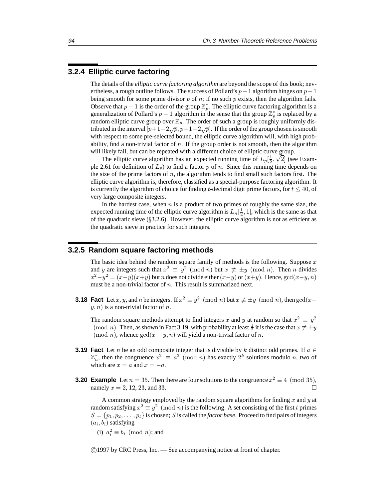### **3.2.4 Elliptic curve factoring**

The details of the *elliptic curve factoring algorithm* are beyond the scope of this book; nevertheless, a rough outline follows. The success of Pollard's  $p-1$  algorithm hinges on  $p-1$ being smooth for some prime divisor  $p$  of  $n$ ; if no such  $p$  exists, then the algorithm fails. Observe that  $p-1$  is the order of the group  $\mathbb{Z}_p^*$ . The elliptic curve factoring algorithm is a generalization of Pollard's  $p-1$  algorithm in the sense that the group  $\mathbb{Z}_p^*$  is replaced by a random elliptic curve group over  $\mathbb{Z}_p$ . The order of such a group is roughly uniformly distributed in the interval  $[p+1-2\sqrt{p}, p+1+2\sqrt{p}]$ . If the order of the group chosen is smooth with respect to some pre-selected bound, the elliptic curve algorithm will, with high probability, find a non-trivial factor of  $n$ . If the group order is not smooth, then the algorithm will likely fail, but can be repeated with a different choice of elliptic curve group.

The elliptic curve algorithm has an expected running time of  $L_p[\frac{1}{2}, \sqrt{2}]$  (see Example 2.61 for definition of  $L_p$ ) to find a factor p of n. Since this running time depends on the size of the prime factors of n, the algorithm tends to find small such factors first. The elliptic curve algorithm is, therefore, classified as a special-purpose factoring algorithm. It is currently the algorithm of choice for finding t-decimal digit prime factors, for  $t \leq 40$ , of very large composite integers.

In the hardest case, when  $n$  is a product of two primes of roughly the same size, the expected running time of the elliptic curve algorithm is  $L_n[\frac{1}{2}, 1]$ , which is the same as that of the quadratic sieve  $(\S3.2.6)$ . However, the elliptic curve algorithm is not as efficient as the quadratic sieve in practice for such integers.

### **3.2.5 Random square factoring methods**

The basic idea behind the random square family of methods is the following. Suppose  $x$ and y are integers such that  $x^2 \equiv y^2 \pmod{n}$  but  $x \not\equiv \pm y \pmod{n}$ . Then n divides  $x^2-y^2 = (x-y)(x+y)$  but n does not divide either  $(x-y)$  or  $(x+y)$ . Hence,  $gcd(x-y, n)$ must be a non-trivial factor of  $n$ . This result is summarized next.

**3.18 Fact** Let x, y, and n be integers. If  $x^2 \equiv y^2 \pmod{n}$  but  $x \not\equiv \pm y \pmod{n}$ , then  $gcd(x$  $y, n$ ) is a non-trivial factor of n.

The random square methods attempt to find integers x and y at random so that  $x^2 \equiv y^2$ (mod *n*). Then, as shown in Fact 3.19, with probability at least  $\frac{1}{2}$  it is the case that  $x \not\equiv \pm y$ (mod *n*), whence  $gcd(x - y, n)$  will yield a non-trivial factor of *n*.

- **3.19 Fact** Let *n* be an odd composite integer that is divisible by k distinct odd primes. If  $a \in$  $\mathbb{Z}_n^*$ , then the congruence  $x^2 \equiv a^2 \pmod{n}$  has exactly  $2^k$  solutions modulo *n*, two of which are  $x = a$  and  $x = -a$ .
- **3.20 Example** Let  $n = 35$ . Then there are four solutions to the congruence  $x^2 \equiv 4 \pmod{35}$ , namely  $x = 2, 12, 23,$  and 33.

A common strategy employed by the random square algorithms for finding  $x$  and  $y$  at random satisfying  $x^2 \equiv y^2 \pmod{n}$  is the following. A set consisting of the first t primes  $S = \{p_1, p_2, \dots, p_t\}$  is chosen; S is called the *factor base*. Proceed to find pairs of integers  $(a_i, b_i)$  satisfying

(i)  $a_i^2 \equiv b_i \pmod{n}$ ; and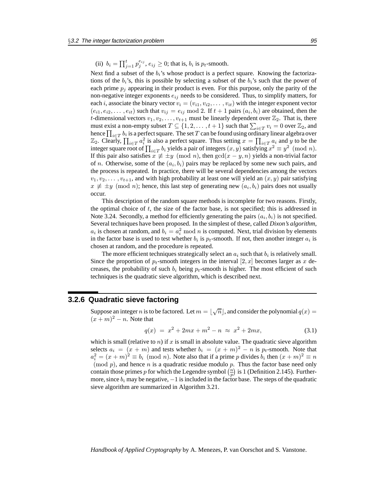(ii)  $b_i = \prod_{j=1}^t p_j^{e_{ij}}, e_{ij} \ge 0$ ; that is,  $b_i$  is  $p_t$ -smooth.

Next find a subset of the  $b_i$ 's whose product is a perfect square. Knowing the factorizations of the  $b_i$ 's, this is possible by selecting a subset of the  $b_i$ 's such that the power of each prime  $p_i$  appearing in their product is even. For this purpose, only the parity of the non-negative integer exponents  $e_{ij}$  needs to be considered. Thus, to simplify matters, for each *i*, associate the binary vector  $v_i = (v_{i1}, v_{i2}, \dots, v_{it})$  with the integer exponent vector  $(e_{i1}, e_{i2}, \ldots, e_{it})$  such that  $v_{ij} = e_{ij} \mod 2$ . If  $t + 1$  pairs  $(a_i, b_i)$  are obtained, then the *t*-dimensional vectors  $v_1, v_2, \ldots, v_{t+1}$  must be linearly dependent over  $\mathbb{Z}_2$ . That is, there must exist a non-empty subset  $T \subseteq \{1, 2, ..., t+1\}$  such that  $\sum_{i \in T} v_i = 0$  over  $\mathbb{Z}_2$ , and hence  $\prod_{i\in T} b_i$  is a perfect square. The set  $T$  can be found using ordinary linear algebra over  $\mathbb{Z}_2$ . Clearly,  $\prod_{i \in T} a_i^2$  is also a perfect square. Thus setting  $x = \prod_{i \in T} a_i$  and y to be the integer square root of  $\prod_{i\in T} b_i$  yields a pair of integers  $(x, y)$  satisfying  $x^2 \equiv y^2 \pmod{n}$ . If this pair also satisfies  $x \not\equiv \pm y \pmod{n}$ , then  $gcd(x - y, n)$  yields a non-trivial factor of n. Otherwise, some of the  $(a_i, b_i)$  pairs may be replaced by some new such pairs, and the process is repeated. In practice, there will be several dependencies among the vectors  $v_1, v_2, \ldots, v_{t+1}$ , and with high probability at least one will yield an  $(x, y)$  pair satisfying  $x \not\equiv \pm y \pmod{n}$ ; hence, this last step of generating new  $(a_i, b_i)$  pairs does not usually occur.

This description of the random square methods is incomplete for two reasons. Firstly, the optimal choice of  $t$ , the size of the factor base, is not specified; this is addressed in Note 3.24. Secondly, a method for efficiently generating the pairs  $(a_i, b_i)$  is not specified. Several techniques have been proposed. In the simplest of these, called *Dixon's algorithm*,  $a_i$  is chosen at random, and  $b_i = a_i^2 \mod n$  is computed. Next, trial division by elements in the factor base is used to test whether  $b_i$  is  $p_t$ -smooth. If not, then another integer  $a_i$  is chosen at random, and the procedure is repeated.

The more efficient techniques strategically select an  $a_i$  such that  $b_i$  is relatively small. Since the proportion of  $p_t$ -smooth integers in the interval  $[2, x]$  becomes larger as x decreases, the probability of such  $b_i$  being  $p_t$ -smooth is higher. The most efficient of such techniques is the quadratic sieve algorithm, which is described next.

### **3.2.6 Quadratic sieve factoring**

Suppose an integer n is to be factored. Let  $m = |\sqrt{n}|$ , and consider the polynomial  $q(x) =$  $(x + m)^2 - n$ . Note that

$$
q(x) = x^2 + 2mx + m^2 - n \approx x^2 + 2mx,\tag{3.1}
$$

which is small (relative to *n*) if x is small in absolute value. The quadratic sieve algorithm selects  $a_i = (x + m)$  and tests whether  $b_i = (x + m)^2 - n$  is  $p_t$ -smooth. Note that  $a_i^2 = (x + m)^2 \equiv b_i \pmod{n}$ . Note also that if a prime p divides  $b_i$  then  $(x + m)^2 \equiv n$  $p(n)$ , and hence n is a quadratic residue modulo p. Thus the factor base need only contain those primes p for which the Legendre symbol  $\binom{n}{p}$  is 1 (Definition 2.145). Furthermore, since  $b_i$  may be negative,  $-1$  is included in the factor base. The steps of the quadratic sieve algorithm are summarized in Algorithm 3.21.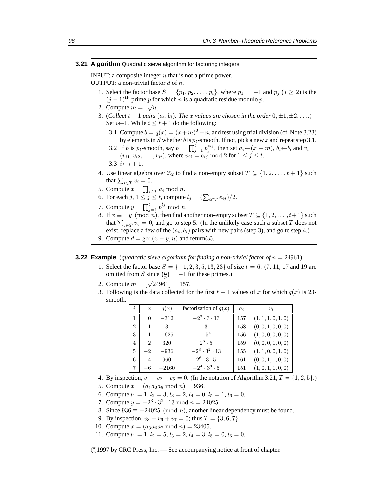#### **3.21 Algorithm** Quadratic sieve algorithm for factoring integers

INPUT: a composite integer  $n$  that is not a prime power.

OUTPUT: a non-trivial factor  $d$  of  $n$ .

- 1. Select the factor base  $S = \{p_1, p_2, \dots, p_t\}$ , where  $p_1 = -1$  and  $p_j$   $(j \ge 2)$  is the  $(j - 1)$ <sup>th</sup> prime p for which n is a quadratic residue modulo p.
- 2. Compute  $m = \lfloor \sqrt{n} \rfloor$ .
- 3. (*Collect*  $t + 1$  *pairs*  $(a_i, b_i)$ *. The x values are chosen in the order*  $0, \pm 1, \pm 2, \ldots$ *)* Set  $i \leftarrow 1$ . While  $i \leq t + 1$  do the following:
	- 3.1 Compute  $b = q(x) = (x+m)^2 n$ , and test using trial division (cf. Note 3.23) by elements in S whether b is  $p_t$ -smooth. If not, pick a new x and repeat step 3.1.
	- 3.2 If *b* is  $p_t$ -smooth, say  $b = \prod_{j=1}^t p_j^{e_{ij}}$ , then set  $a_i \leftarrow (x+m)$ ,  $b_i \leftarrow b$ , and  $v_i =$  $(v_{i1}, v_{i2}, \ldots, v_{it})$ , where  $v_{ij} = e_{ij} \bmod 2$  for  $1 \le j \le t$ .
	- 3.3  $i \leftarrow i + 1$ .
- 4. Use linear algebra over  $\mathbb{Z}_2$  to find a non-empty subset  $T \subseteq \{1, 2, \ldots, t+1\}$  such that  $\sum_{i \in T} v_i = 0$ .
- 5. Compute  $x = \prod_{i \in T} a_i \bmod n$ .
- 6. For each  $j, 1 \le j \le t$ , compute  $l_j = (\sum_{i \in T} e_{ij})/2$ .
- 7. Compute  $y = \prod_{j=1}^{t} p_j^{l_j} \mod n$ .
- 8. If  $x \equiv \pm y \pmod{n}$ , then find another non-empty subset  $T \subseteq \{1, 2, \ldots, t+1\}$  such that  $\sum_{i \in T} v_i = 0$ , and go to step 5. (In the unlikely case such a subset T does not exist, replace a few of the  $(a_i, b_i)$  pairs with new pairs (step 3), and go to step 4.)
- 9. Compute  $d = \gcd(x y, n)$  and return(d).

#### **3.22 Example** (*quadratic sieve algorithm for finding a non-trivial factor of*  $n = 24961$ )

- 1. Select the factor base  $S = \{-1, 2, 3, 5, 13, 23\}$  of size  $t = 6$ . (7, 11, 17 and 19 are omitted from S since  $\left(\frac{n}{p}\right) = -1$  for these primes.)
- 2. Compute  $m = \lfloor \sqrt{24961} \rfloor = 157$ .
- 3. Following is the data collected for the first  $t + 1$  values of x for which  $q(x)$  is 23smooth.

| $\overline{\imath}$ | $\boldsymbol{x}$ | q(x)    | factorization of $q(x)$   | $a_i$ | $v_i$              |
|---------------------|------------------|---------|---------------------------|-------|--------------------|
| 1                   | 0                | $-312$  | $-2^3 \cdot 3 \cdot 13$   | 157   | (1, 1, 1, 0, 1, 0) |
| $\overline{2}$      | 1                | 3       | 3                         | 158   | (0, 0, 1, 0, 0, 0) |
| 3                   | $-1$             | $-625$  | $-5^{4}$                  | 156   | (1, 0, 0, 0, 0, 0) |
| $\overline{4}$      | $\overline{2}$   | 320     | $2^6 \cdot 5$             | 159   | (0, 0, 0, 1, 0, 0) |
| 5                   | $-2$             | $-936$  | $-2^3 \cdot 3^2 \cdot 13$ | 155   | (1, 1, 0, 0, 1, 0) |
| 6                   | 4                | 960     | $2^6 \cdot 3 \cdot 5$     | 161   | (0,0,1,1,0,0)      |
|                     | -6               | $-2160$ | $-2^4 \cdot 3^3 \cdot 5$  | 151   | (1,0,1,1,0,0)      |

- 4. By inspection,  $v_1 + v_2 + v_5 = 0$ . (In the notation of Algorithm 3.21,  $T = \{1, 2, 5\}$ .)
- 5. Compute  $x = (a_1 a_2 a_5 \mod n) = 936$ .
- 6. Compute  $l_1 = 1$ ,  $l_2 = 3$ ,  $l_3 = 2$ ,  $l_4 = 0$ ,  $l_5 = 1$ ,  $l_6 = 0$ .
- 7. Compute  $y = -2^3 \cdot 3^2 \cdot 13 \mod n = 24025$ .
- 8. Since  $936 \equiv -24025 \pmod{n}$ , another linear dependency must be found.
- 9. By inspection,  $v_3 + v_6 + v_7 = 0$ ; thus  $T = \{3, 6, 7\}$ .
- 10. Compute  $x = (a_3a_6a_7 \mod n) = 23405$ .
- 11. Compute  $l_1 = 1$ ,  $l_2 = 5$ ,  $l_3 = 2$ ,  $l_4 = 3$ ,  $l_5 = 0$ ,  $l_6 = 0$ .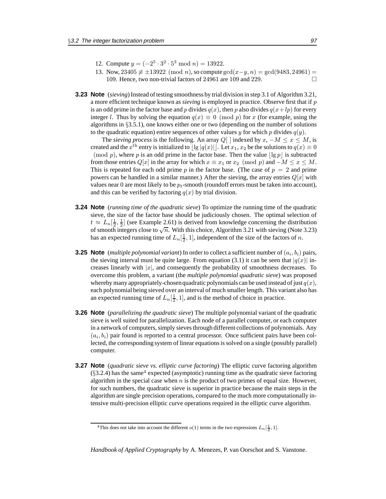- 12. Compute  $y = (-2^5 \cdot 3^2 \cdot 5^3 \mod n) = 13922$ .
- 13. Now, 23405  $\neq \pm 13922 \pmod{n}$ , so compute gcd $(x-y, n) = \gcd(9483, 24961) =$ 109. Hence, two non-trivial factors of 24961 are 109 and 229.
- **3.23 Note** (*sieving*) Instead of testing smoothness by trial division in step 3.1 of Algorithm 3.21, a more efficient technique known as *sieving* is employed in practice. Observe first that if p is an odd prime in the factor base and p divides  $q(x)$ , then p also divides  $q(x+lp)$  for every integer l. Thus by solving the equation  $q(x) \equiv 0 \pmod{p}$  for x (for example, using the algorithms in §3.5.1), one knows either one or two (depending on the number of solutions to the quadratic equation) entire sequences of other values y for which p divides  $q(y)$ .

The *sieving process* is the following. An array  $Q[$  | indexed by  $x, -M \le x \le M$ , is created and the  $x^{\text{th}}$  entry is initialized to  $\lfloor \lg |q(x)| \rfloor$ . Let  $x_1, x_2$  be the solutions to  $q(x) \equiv 0$ (mod p), where p is an odd prime in the factor base. Then the value  $\lfloor \lg p \rfloor$  is subtracted from those entries  $Q[x]$  in the array for which  $x \equiv x_1$  or  $x_2 \pmod{p}$  and  $-M \le x \le M$ . This is repeated for each odd prime p in the factor base. (The case of  $p = 2$  and prime powers can be handled in a similar manner.) After the sieving, the array entries  $Q[x]$  with values near 0 are most likely to be  $p_t$ -smooth (roundoff errors must be taken into account), and this can be verified by factoring  $q(x)$  by trial division.

- **3.24 Note** (*running time of the quadratic sieve*) To optimize the running time of the quadratic sieve, the size of the factor base should be judiciously chosen. The optimal selection of  $t \approx L_n[\frac{1}{2},\frac{1}{2}]$  (see Example 2.61) is derived from knowledge concerning the distribution of smooth integers close to  $\sqrt{n}$ . With this choice, Algorithm 3.21 with sieving (Note 3.23) has an expected running time of  $L_n[\frac{1}{2}, 1]$ , independent of the size of the factors of n.
- **3.25 Note** (*multiple polynomial variant*) In order to collect a sufficient number of  $(a_i, b_i)$  pairs, the sieving interval must be quite large. From equation (3.1) it can be seen that  $|q(x)|$  increases linearly with  $|x|$ , and consequently the probability of smoothness decreases. To overcome this problem, a variant (the *multiple polynomial quadratic sieve*) was proposed whereby many appropriately-chosen quadratic polynomials can be used instead of just  $q(x)$ , each polynomial being sieved over an interval of much smaller length. This variant also has an expected running time of  $L_n[\frac{1}{2}, 1]$ , and is the method of choice in practice.
- **3.26 Note** (*parallelizing the quadratic sieve*) The multiple polynomial variant of the quadratic sieve is well suited for parallelization. Each node of a parallel computer, or each computer in a network of computers, simply sieves through different collections of polynomials. Any  $(a_i, b_i)$  pair found is reported to a central processor. Once sufficient pairs have been collected, the corresponding system of linear equations is solved on a single (possibly parallel) computer.
- **3.27 Note** (*quadratic sieve vs. elliptic curve factoring*) The elliptic curve factoring algorithm  $(\S3.2.4)$  has the same<sup>4</sup> expected (asymptotic) running time as the quadratic sieve factoring algorithm in the special case when  $n$  is the product of two primes of equal size. However, for such numbers, the quadratic sieve is superior in practice because the main steps in the algorithm are single precision operations, compared to the much more computationally intensive multi-precision elliptic curve operations required in the elliptic curve algorithm.

<sup>&</sup>lt;sup>4</sup>This does not take into account the different  $o(1)$  terms in the two expressions  $L_n[\frac{1}{2}, 1]$ .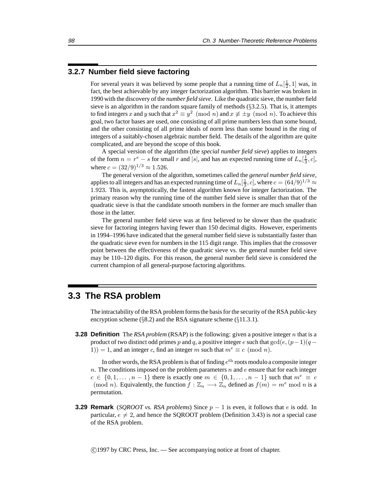### **3.2.7 Number field sieve factoring**

For several years it was believed by some people that a running time of  $L_n[\frac{1}{2}, 1]$  was, in fact, the best achievable by any integer factorization algorithm. This barrier was broken in 1990 with the discovery of the *number field sieve*. Like the quadratic sieve, the number field sieve is an algorithm in the random square family of methods  $(\S3.2.5)$ . That is, it attempts to find integers x and y such that  $x^2 \equiv y^2 \pmod{n}$  and  $x \not\equiv \pm y \pmod{n}$ . To achieve this goal, two factor bases are used, one consisting of all prime numbers less than some bound, and the other consisting of all prime ideals of norm less than some bound in the ring of integers of a suitably-chosen algebraic number field. The details of the algorithm are quite complicated, and are beyond the scope of this book.

A special version of the algorithm (the *special number field sieve*) applies to integers of the form  $n = r^e - s$  for small r and |s|, and has an expected running time of  $L_n[\frac{1}{3}, c]$ , where  $c = (32/9)^{1/3} \approx 1.526$ .

The general version of the algorithm, sometimes called the *general number field sieve*, applies to all integers and has an expected running time of  $L_n[\frac{1}{3},c]$ , where  $c=(64/9)^{1/3}\approx$ 1.923. This is, asymptotically, the fastest algorithm known for integer factorization. The primary reason why the running time of the number field sieve is smaller than that of the quadratic sieve is that the candidate smooth numbers in the former are much smaller than those in the latter.

The general number field sieve was at first believed to be slower than the quadratic sieve for factoring integers having fewer than 150 decimal digits. However, experiments in 1994–1996 have indicated that the general number field sieve is substantially faster than the quadratic sieve even for numbers in the 115 digit range. This implies that the crossover point between the effectiveness of the quadratic sieve vs. the general number field sieve may be 110–120 digits. For this reason, the general number field sieve is considered the current champion of all general-purpose factoring algorithms.

### **3.3 The RSA problem**

The intractability of the RSA problem forms the basis for the security of the RSA public-key encryption scheme ( $\S 8.2$ ) and the RSA signature scheme ( $\S 11.3.1$ ).

**3.28 Definition** The *RSA problem* (RSAP) is the following: given a positive integer n that is a product of two distinct odd primes p and q, a positive integer e such that  $gcd(e,(p-1)(q-1))$ 1)) = 1, and an integer c, find an integer m such that  $m^e \equiv c \pmod{n}$ .

In other words, the RSA problem is that of finding  $e^{th}$  roots modulo a composite integer n. The conditions imposed on the problem parameters  $n$  and  $e$  ensure that for each integer  $c \in \{0, 1, \ldots, n-1\}$  there is exactly one  $m \in \{0, 1, \ldots, n-1\}$  such that  $m^e \equiv c$ (mod *n*). Equivalently, the function  $f : \mathbb{Z}_n \longrightarrow \mathbb{Z}_n$  defined as  $f(m) = m^e \mod n$  is a permutation.

**3.29 Remark** (*SOROOT vs. RSA problems*) Since  $p - 1$  is even, it follows that e is odd. In particular,  $e \neq 2$ , and hence the SQROOT problem (Definition 3.43) is *not* a special case of the RSA problem.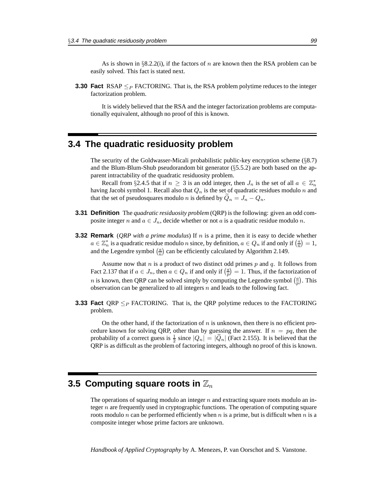As is shown in  $\S 8.2.2(i)$ , if the factors of n are known then the RSA problem can be easily solved. This fact is stated next.

**3.30 Fact** RSAP  $\leq_P$  FACTORING. That is, the RSA problem polytime reduces to the integer factorization problem.

It is widely believed that the RSA and the integer factorization problems are computationally equivalent, although no proof of this is known.

### **3.4 The quadratic residuosity problem**

The security of the Goldwasser-Micali probabilistic public-key encryption scheme  $(\S8.7)$ and the Blum-Blum-Shub pseudorandom bit generator (§5.5.2) are both based on the apparent intractability of the quadratic residuosity problem.

Recall from §2.4.5 that if  $n \geq 3$  is an odd integer, then  $J_n$  is the set of all  $a \in \mathbb{Z}_n^*$ having Jacobi symbol 1. Recall also that  $Q_n$  is the set of quadratic residues modulo n and that the set of pseudosquares modulo *n* is defined by  $\ddot{Q}_n = J_n - Q_n$ .

- **3.31 Definition** The *quadratic residuosity problem* (QRP) is the following: given an odd composite integer n and  $a \in J_n$ , decide whether or not a is a quadratic residue modulo n.
- **3.32 Remark** (*QRP with a prime modulus*) If n is a prime, then it is easy to decide whether  $a \in \mathbb{Z}_n^*$  is a quadratic residue modulo n since, by definition,  $a \in Q_n$  if and only if  $\left(\frac{a}{n}\right) = 1$ , and the Legendre symbol  $\left(\frac{a}{n}\right)$  can be efficiently calculated by Algorithm 2.149.

Assume now that  $n$  is a product of two distinct odd primes  $p$  and  $q$ . It follows from Fact 2.137 that if  $a \in J_n$ , then  $a \in Q_n$  if and only if  $\left(\frac{a}{p}\right) = 1$ . Thus, if the factorization of *n* is known, then QRP can be solved simply by computing the Legendre symbol  $\left(\frac{a}{p}\right)$ . This observation can be generalized to all integers  $n$  and leads to the following fact.

**3.33 Fact** QRP  $\leq_P$  FACTORING. That is, the QRP polytime reduces to the FACTORING problem.

On the other hand, if the factorization of  $n$  is unknown, then there is no efficient procedure known for solving QRP, other than by guessing the answer. If  $n = pq$ , then the probability of a correct guess is  $\frac{1}{2}$  since  $|Q_n| = |\tilde{Q}_n|$  (Fact 2.155). It is believed that the QRP is as difficult as the problem of factoring integers, although no proof of this is known.

### **3.5 Computing square roots in**  $\mathbb{Z}_n$

The operations of squaring modulo an integer  $n$  and extracting square roots modulo an integer n are frequently used in cryptographic functions. The operation of computing square roots modulo n can be performed efficiently when n is a prime, but is difficult when n is a composite integer whose prime factors are unknown.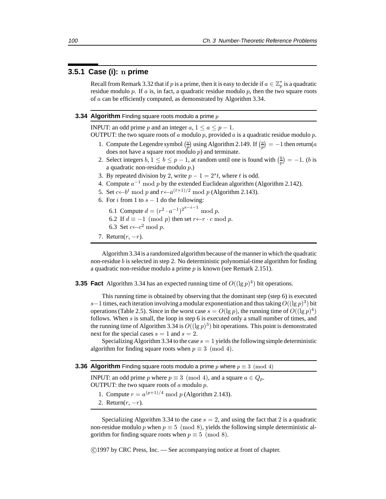### **3.5.1 Case (i):** n **prime**

Recall from Remark 3.32 that if p is a prime, then it is easy to decide if  $a \in \mathbb{Z}_p^*$  is a quadratic residue modulo  $p$ . If  $a$  is, in fact, a quadratic residue modulo  $p$ , then the two square roots of a can be efficiently computed, as demonstrated by Algorithm 3.34.

### **3.34 Algorithm** Finding square roots modulo a prime p

INPUT: an odd prime p and an integer  $a, 1 \le a \le p - 1$ .

OUTPUT: the two square roots of a modulo p, provided a is a quadratic residue modulo p.

- 1. Compute the Legendre symbol  $\left(\frac{a}{p}\right)$  using Algorithm 2.149. If  $\left(\frac{a}{p}\right) = -1$  then return(a does not have a square root modulo  $p$ ) and terminate.
- 2. Select integers  $b, 1 \le b \le p 1$ , at random until one is found with  $\left(\frac{b}{p}\right) = -1$ . (*b* is a quadratic non-residue modulo p.)
- 3. By repeated division by 2, write  $p 1 = 2<sup>s</sup> t$ , where t is odd.
- 4. Compute  $a^{-1}$  mod p by the extended Euclidean algorithm (Algorithm 2.142).
- 5. Set  $c \leftarrow b^t \mod p$  and  $r \leftarrow a^{(t+1)/2} \mod p$  (Algorithm 2.143).
- 6. For i from 1 to  $s 1$  do the following:
	- 6.1 Compute  $d = (r^2 \cdot a^{-1})^{2^{s-i-1}} \bmod p$ .
	- 6.2 If  $d \equiv -1 \pmod{p}$  then set  $r \leftarrow r \cdot c \mod p$ .
	- 6.3 Set  $c \leftarrow c^2$  mod  $p$ .
- 7. Return $(r, -r)$ .

Algorithm 3.34 is a randomized algorithm because of the manner in which the quadratic non-residue  $b$  is selected in step 2. No deterministic polynomial-time algorithm for finding a quadratic non-residue modulo a prime  $p$  is known (see Remark 2.151).

**3.35 Fact** Algorithm 3.34 has an expected running time of  $O((\lg p)^4)$  bit operations.

This running time is obtained by observing that the dominant step (step 6) is executed s−1 times, each iteration involving a modular exponentiation and thus taking  $O((\lg p)^3)$  bit operations (Table 2.5). Since in the worst case  $s = O(\lg p)$ , the running time of  $O((\lg p)^4)$ follows. When  $s$  is small, the loop in step 6 is executed only a small number of times, and the running time of Algorithm 3.34 is  $O((\lg p)^3)$  bit operations. This point is demonstrated next for the special cases  $s = 1$  and  $s = 2$ .

Specializing Algorithm 3.34 to the case  $s = 1$  yields the following simple deterministic algorithm for finding square roots when  $p \equiv 3 \pmod{4}$ .

|  |  |  | <b>3.36 Algorithm</b> Finding square roots modulo a prime p where $p \equiv 3 \pmod{4}$ |  |  |
|--|--|--|-----------------------------------------------------------------------------------------|--|--|
|--|--|--|-----------------------------------------------------------------------------------------|--|--|

INPUT: an odd prime p where  $p \equiv 3 \pmod{4}$ , and a square  $a \in Q_p$ . OUTPUT: the two square roots of  $a$  modulo  $p$ .

- 1. Compute  $r = a^{(p+1)/4} \mod p$  (Algorithm 2.143).
- 2. Return $(r, -r)$ .

Specializing Algorithm 3.34 to the case  $s = 2$ , and using the fact that 2 is a quadratic non-residue modulo p when  $p \equiv 5 \pmod{8}$ , yields the following simple deterministic algorithm for finding square roots when  $p \equiv 5 \pmod{8}$ .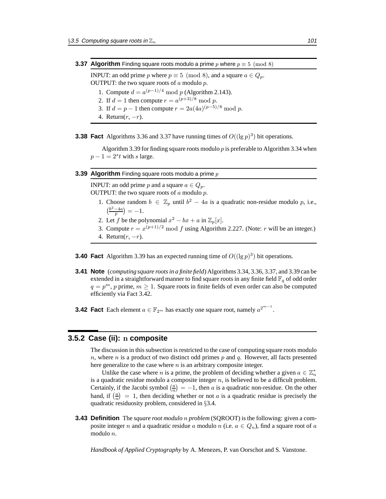INPUT: an odd prime p where  $p \equiv 5 \pmod{8}$ , and a square  $a \in Q_p$ . OUTPUT: the two square roots of  $a$  modulo  $p$ .

- 1. Compute  $d = a^{(p-1)/4} \mod p$  (Algorithm 2.143).
- 2. If  $d = 1$  then compute  $r = a^{(p+3)/8} \mod p$ .
- 3. If  $d = p 1$  then compute  $r = 2a(4a)^{(p-5)/8} \mod p$ .
- 4. Return $(r, -r)$ .

**3.38 Fact** Algorithms 3.36 and 3.37 have running times of  $O((\lg p)^3)$  bit operations.

Algorithm 3.39 for finding square roots modulo  $p$  is preferable to Algorithm 3.34 when  $p-1=2<sup>s</sup>t$  with s large.

### **3.39 Algorithm** Finding square roots modulo a prime p

INPUT: an odd prime p and a square  $a \in Q_p$ . OUTPUT: the two square roots of  $a$  modulo  $p$ .

- 1. Choose random  $b \in \mathbb{Z}_p$  until  $b^2 4a$  is a quadratic non-residue modulo p, i.e.,  $\left(\frac{b^2-4a}{p}\right) = -1.$
- 2. Let f be the polynomial  $x^2 bx + a$  in  $\mathbb{Z}_p[x]$ .
- 3. Compute  $r = x^{(p+1)/2} \mod f$  using Algorithm 2.227. (Note: r will be an integer.)
- 4. Return $(r, -r)$ .
- **3.40 Fact** Algorithm 3.39 has an expected running time of  $O((\lg p)^3)$  bit operations.
- **3.41 Note** (*computing square roots in a finite field*) Algorithms 3.34, 3.36, 3.37, and 3.39 can be extended in a straightforward manner to find square roots in any finite field  $\mathbb{F}_q$  of odd order  $q = p<sup>m</sup>$ , p prime,  $m \ge 1$ . Square roots in finite fields of even order can also be computed efficiently via Fact 3.42.
- **3.42 Fact** Each element  $a \in \mathbb{F}_{2^m}$  has exactly one square root, namely  $a^{2^{m-1}}$ .

### **3.5.2 Case (ii):** n **composite**

The discussion in this subsection is restricted to the case of computing square roots modulo n, where n is a product of two distinct odd primes p and q. However, all facts presented here generalize to the case where  $n$  is an arbitrary composite integer.

Unlike the case where *n* is a prime, the problem of deciding whether a given  $a \in \mathbb{Z}_n^*$ is a quadratic residue modulo a composite integer  $n$ , is believed to be a difficult problem. Certainly, if the Jacobi symbol  $\left(\frac{a}{n}\right) = -1$ , then a is a quadratic non-residue. On the other hand, if  $\left(\frac{a}{n}\right) = 1$ , then deciding whether or not a is a quadratic residue is precisely the quadratic residuosity problem, considered in §3.4.

**3.43 Definition** The *square root modulo* n *problem* (SQROOT) is the following: given a composite integer *n* and a quadratic residue *a* modulo *n* (i.e.  $a \in Q_n$ ), find a square root of *a* modulo n.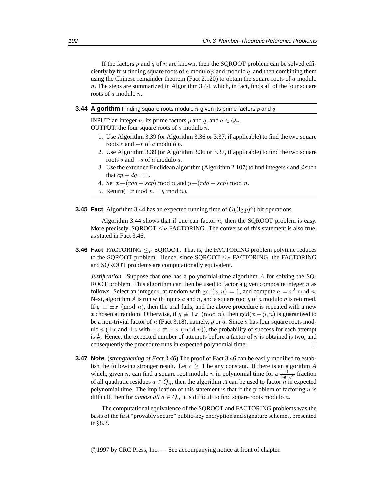If the factors p and q of n are known, then the SQROOT problem can be solved efficiently by first finding square roots of a modulo p and modulo q, and then combining them using the Chinese remainder theorem (Fact 2.120) to obtain the square roots of  $a$  modulo n. The steps are summarized in Algorithm 3.44, which, in fact, finds all of the four square roots of a modulo n.

### **3.44 Algorithm** Finding square roots modulo  $n$  given its prime factors  $p$  and  $q$

INPUT: an integer n, its prime factors p and q, and  $a \in Q_n$ . OUTPUT: the four square roots of  $a$  modulo  $n$ .

- 1. Use Algorithm 3.39 (or Algorithm 3.36 or 3.37, if applicable) to find the two square roots r and  $-r$  of a modulo p.
- 2. Use Algorithm 3.39 (or Algorithm 3.36 or 3.37, if applicable) to find the two square roots s and  $-s$  of a modulo q.
- 3. Use the extended Euclidean algorithm (Algorithm 2.107) to find integers c and d such that  $cp + dq = 1$ .
- 4. Set  $x \leftarrow (r dq + scp) \mod n$  and  $y \leftarrow (r dq scp) \mod n$ .
- 5. Return( $\pm x \mod n$ ,  $\pm y \mod n$ ).

**3.45 Fact** Algorithm 3.44 has an expected running time of  $O((\lg p)^3)$  bit operations.

Algorithm 3.44 shows that if one can factor  $n$ , then the SQROOT problem is easy. More precisely, SQROOT  $\leq_P$  FACTORING. The converse of this statement is also true, as stated in Fact 3.46.

**3.46 Fact** FACTORING  $\leq_P$  SQROOT. That is, the FACTORING problem polytime reduces to the SOROOT problem. Hence, since SQROOT  $\leq_P$  FACTORING, the FACTORING and SQROOT problems are computationally equivalent.

*Justification.* Suppose that one has a polynomial-time algorithm A for solving the SQ-ROOT problem. This algorithm can then be used to factor a given composite integer  $n$  as follows. Select an integer x at random with  $gcd(x, n) = 1$ , and compute  $a = x^2 \mod n$ . Next, algorithm A is run with inputs a and n, and a square root y of a modulo n is returned. If  $y \equiv \pm x \pmod{n}$ , then the trial fails, and the above procedure is repeated with a new x chosen at random. Otherwise, if  $y \not\equiv \pm x \pmod{n}$ , then  $gcd(x - y, n)$  is guaranteed to be a non-trivial factor of n (Fact 3.18), namely, p or q. Since a has four square roots modulo n ( $\pm x$  and  $\pm z$  with  $\pm z \neq \pm x \pmod{n}$ ), the probability of success for each attempt is  $\frac{1}{2}$ . Hence, the expected number of attempts before a factor of *n* is obtained is two, and consequently the procedure runs in expected polynomial time.  $\Box$ 

**3.47 Note** (*strengthening of Fact 3.46*) The proof of Fact 3.46 can be easily modified to establish the following stronger result. Let  $c \geq 1$  be any constant. If there is an algorithm A which, given *n*, can find a square root modulo *n* in polynomial time for a  $\frac{1}{(\lg n)^c}$  fraction of all quadratic residues  $a \in Q_n$ , then the algorithm A can be used to factor n in expected polynomial time. The implication of this statement is that if the problem of factoring  $n$  is difficult, then for *almost all*  $a \in Q_n$  it is difficult to find square roots modulo n.

The computational equivalence of the SQROOT and FACTORING problems was the basis of the first "provably secure" public-key encryption and signature schemes, presented in §8.3.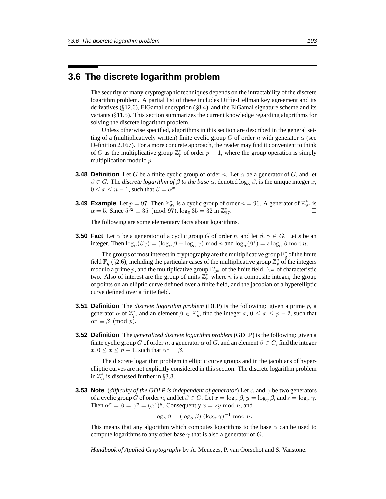### **3.6 The discrete logarithm problem**

The security of many cryptographic techniques depends on the intractability of the discrete logarithm problem. A partial list of these includes Diffie-Hellman key agreement and its derivatives ( $\S$ 12.6), ElGamal encryption ( $\S$ 8.4), and the ElGamal signature scheme and its variants (§11.5). This section summarizes the current knowledge regarding algorithms for solving the discrete logarithm problem.

Unless otherwise specified, algorithms in this section are described in the general setting of a (multiplicatively written) finite cyclic group G of order n with generator  $\alpha$  (see Definition 2.167). For a more concrete approach, the reader may find it convenient to think of G as the multiplicative group  $\mathbb{Z}_p^*$  of order  $p-1$ , where the group operation is simply multiplication modulo p.

- **3.48 Definition** Let G be a finite cyclic group of order n. Let  $\alpha$  be a generator of G, and let  $\beta \in G$ . The *discrete logarithm of*  $\beta$  *to the base*  $\alpha$ , denoted log<sub> $\alpha$ </sub>,  $\beta$ , is the unique integer x,  $0 \leq x \leq n-1$ , such that  $\beta = \alpha^x$ .
- **3.49 Example** Let  $p = 97$ . Then  $\mathbb{Z}_{97}^*$  is a cyclic group of order  $n = 96$ . A generator of  $\mathbb{Z}_{97}^*$  is  $\alpha = 5$ . Since  $5^{32} \equiv 35 \pmod{97}$ ,  $\log_5 35 = 32$  in  $\mathbb{Z}_{97}^*$ .  $\overline{97}$ .

The following are some elementary facts about logarithms.

**3.50 Fact** Let  $\alpha$  be a generator of a cyclic group G of order n, and let  $\beta$ ,  $\gamma \in G$ . Let s be an integer. Then  $\log_{\alpha}(\beta \gamma) = (\log_{\alpha} \beta + \log_{\alpha} \gamma) \mod n$  and  $\log_{\alpha}(\beta^s) = s \log_{\alpha} \beta \mod n$ .

The groups of most interest in cryptography are the multiplicative group  $\mathbb{F}_q^*$  of the finite field  $\mathbb{F}_q$  (§2.6), including the particular cases of the multiplicative group  $\mathbb{Z}_p^*$  of the integers modulo a prime p, and the multiplicative group  $\mathbb{F}_{2^m}^*$  of the finite field  $\mathbb{F}_{2^m}$  of characteristic two. Also of interest are the group of units  $\mathbb{Z}_n^*$  where n is a composite integer, the group of points on an elliptic curve defined over a finite field, and the jacobian of a hyperelliptic curve defined over a finite field.

- **3.51 Definition** The *discrete logarithm problem* (DLP) is the following: given a prime p, a generator  $\alpha$  of  $\mathbb{Z}_p^*$ , and an element  $\beta \in \mathbb{Z}_p^*$ , find the integer  $x, 0 \le x \le p-2$ , such that  $\alpha^x \equiv \beta \pmod{p}$ .
- **3.52 Definition** The *generalized discrete logarithm problem* (GDLP) is the following: given a finite cyclic group G of order n, a generator  $\alpha$  of G, and an element  $\beta \in G$ , find the integer  $x, 0 \le x \le n - 1$ , such that  $\alpha^x = \beta$ .

The discrete logarithm problem in elliptic curve groups and in the jacobians of hyperelliptic curves are not explicitly considered in this section. The discrete logarithm problem in  $\mathbb{Z}_n^*$  is discussed further in §3.8.

**3.53 Note** (*difficulty of the GDLP is independent of generator*) Let  $\alpha$  and  $\gamma$  be two generators of a cyclic group G of order n, and let  $\beta \in G$ . Let  $x = \log_{\alpha} \beta$ ,  $y = \log_{\gamma} \beta$ , and  $z = \log_{\alpha} \gamma$ . Then  $\alpha^x = \beta = \gamma^y = (\alpha^z)^y$ . Consequently  $x = zy \mod n$ , and

$$
\log_{\gamma} \beta = (\log_{\alpha} \beta) (\log_{\alpha} \gamma)^{-1} \text{ mod } n.
$$

This means that any algorithm which computes logarithms to the base  $\alpha$  can be used to compute logarithms to any other base  $\gamma$  that is also a generator of G.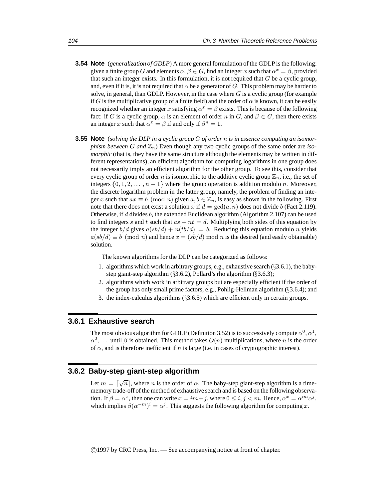- **3.54 Note** (*generalization of GDLP*) A more general formulation of the GDLP is the following: given a finite group G and elements  $\alpha, \beta \in G$ , find an integer x such that  $\alpha^x = \beta$ , provided that such an integer exists. In this formulation, it is not required that G be a cyclic group, and, even if it is, it is not required that  $\alpha$  be a generator of G. This problem may be harder to solve, in general, than GDLP. However, in the case where  $G$  is a cyclic group (for example if G is the multiplicative group of a finite field) and the order of  $\alpha$  is known, it can be easily recognized whether an integer x satisfying  $\alpha^x = \beta$  exists. This is because of the following fact: if G is a cyclic group,  $\alpha$  is an element of order n in G, and  $\beta \in G$ , then there exists an integer x such that  $\alpha^x = \beta$  if and only if  $\beta^n = 1$ .
- **3.55 Note** (*solving the DLP in a cyclic group* G *of order* n *is in essence computing an isomorphism between* G and  $\mathbb{Z}_n$ ) Even though any two cyclic groups of the same order are *isomorphic* (that is, they have the same structure although the elements may be written in different representations), an efficient algorithm for computing logarithms in one group does not necessarily imply an efficient algorithm for the other group. To see this, consider that every cyclic group of order n is isomorphic to the additive cyclic group  $\mathbb{Z}_n$ , i.e., the set of integers  $\{0, 1, 2, \ldots, n-1\}$  where the group operation is addition modulo n. Moreover, the discrete logarithm problem in the latter group, namely, the problem of finding an integer x such that  $ax \equiv b \pmod{n}$  given  $a, b \in \mathbb{Z}_n$ , is easy as shown in the following. First note that there does not exist a solution x if  $d = \gcd(a, n)$  does not divide b (Fact 2.119). Otherwise, if d divides b, the extended Euclidean algorithm  $(A$ lgorithm 2.107) can be used to find integers s and t such that  $as + nt = d$ . Multiplying both sides of this equation by the integer  $b/d$  gives  $a(sb/d) + n(tb/d) = b$ . Reducing this equation modulo n yields  $a(sb/d) \equiv b \pmod{n}$  and hence  $x = (sb/d) \bmod n$  is the desired (and easily obtainable) solution.

The known algorithms for the DLP can be categorized as follows:

- 1. algorithms which work in arbitrary groups, e.g., exhaustive search (§3.6.1), the babystep giant-step algorithm  $(\S3.6.2)$ , Pollard's rho algorithm  $(\S3.6.3)$ ;
- 2. algorithms which work in arbitrary groups but are especially efficient if the order of the group has only small prime factors, e.g., Pohlig-Hellman algorithm (§3.6.4); and
- 3. the index-calculus algorithms (§3.6.5) which are efficient only in certain groups.

### **3.6.1 Exhaustive search**

The most obvious algorithm for GDLP (Definition 3.52) is to successively compute  $\alpha^0$ ,  $\alpha^1$ ,  $\alpha^2$ ,... until  $\beta$  is obtained. This method takes  $O(n)$  multiplications, where n is the order of  $\alpha$ , and is therefore inefficient if n is large (i.e. in cases of cryptographic interest).

### **3.6.2 Baby-step giant-step algorithm**

Let  $m = \lceil \sqrt{n} \rceil$ , where n is the order of  $\alpha$ . The baby-step giant-step algorithm is a timememory trade-off of the method of exhaustive search and is based on the following observation. If  $\beta = \alpha^x$ , then one can write  $x = im + j$ , where  $0 \le i, j < m$ . Hence,  $\alpha^x = \alpha^{im} \alpha^j$ , which implies  $\beta(\alpha^{-m})^i = \alpha^j$ . This suggests the following algorithm for computing x.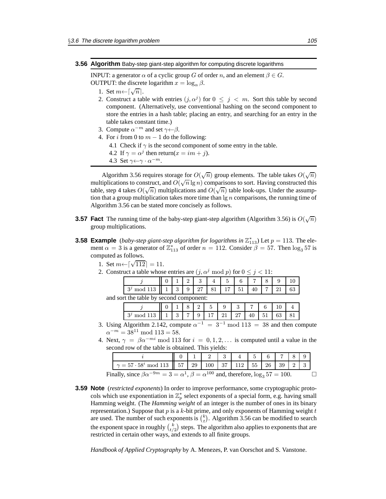#### **3.56 Algorithm** Baby-step giant-step algorithm for computing discrete logarithms

INPUT: a generator  $\alpha$  of a cyclic group G of order n, and an element  $\beta \in G$ . OUTPUT: the discrete logarithm  $x = \log_{\alpha} \beta$ .

- 1. Set  $m \leftarrow \lceil \sqrt{n} \rceil$ .
- 2. Construct a table with entries  $(j, \alpha^j)$  for  $0 \leq j \leq m$ . Sort this table by second component. (Alternatively, use conventional hashing on the second component to store the entries in a hash table; placing an entry, and searching for an entry in the table takes constant time.)
- 3. Compute  $\alpha^{-m}$  and set  $\gamma \leftarrow \beta$ .
- 4. For i from 0 to  $m 1$  do the following:
	- 4.1 Check if  $\gamma$  is the second component of some entry in the table.
	- 4.2 If  $\gamma = \alpha^j$  then return $(x = im + j)$ .

4.3 Set  $\gamma \leftarrow \gamma \cdot \alpha^{-m}$ .

Algorithm 3.56 requires storage for  $O(\sqrt{n})$  group elements. The table takes  $O(\sqrt{n})$ Algorium 5.50 requires storage for  $O(\sqrt{n})$  group elements. The table takes  $O(\sqrt{n})$ <br>multiplications to construct, and  $O(\sqrt{n} \lg n)$  comparisons to sort. Having constructed this multiplications to construct, and  $O(\sqrt{n} \lg n)$  comparisons to soft. Traving constructed this table, step 4 takes  $O(\sqrt{n})$  multiplications and  $O(\sqrt{n})$  table look-ups. Under the assumption that a group multiplication takes more time than  $\lg n$  comparisons, the running time of Algorithm 3.56 can be stated more concisely as follows.

- **3.57 Fact** The running time of the baby-step giant-step algorithm (Algorithm 3.56) is  $O(\sqrt{n})$ group multiplications.
- **3.58 Example** (*baby-step giant-step algorithm for logarithms in*  $\mathbb{Z}_{113}^*$ ) Let  $p = 113$ . The element  $\alpha = 3$  is a generator of  $\mathbb{Z}_{113}^*$  of order  $n = 112$ . Consider  $\beta = 57$ . Then  $\log_3 57$  is computed as follows.
	- 1. Set  $m \leftarrow \lceil \sqrt{112} \rceil = 11$ .
	- 2. Construct a table whose entries are  $(j, \alpha^j \mod p)$  for  $0 \le j < 11$ :

|                                                  |  |  |  |  | $4\phantom{0}$ |  |              |    |                |  |  |
|--------------------------------------------------|--|--|--|--|----------------|--|--------------|----|----------------|--|--|
| $3^j \mod 113 \mid 1 \mid 3 \mid 9 \mid 27 \mid$ |  |  |  |  |                |  | 81   17   51 | 40 | $\overline{ }$ |  |  |
| and sort the table by second component:          |  |  |  |  |                |  |              |    |                |  |  |

|  |                 | $\tilde{}$ |                |  |    |  |
|--|-----------------|------------|----------------|--|----|--|
|  | $3 \mid 7 \mid$ |            | 1 17 1 21 1 27 |  | 51 |  |

- 3. Using Algorithm 2.142, compute  $\alpha^{-1} = 3^{-1} \text{ mod } 113 = 38$  and then compute  $\alpha^{-m} = 38^{11} \mod 113 = 58.$
- 4. Next,  $\gamma = \beta \alpha^{-mi} \mod 113$  for  $i = 0, 1, 2, \dots$  is computed until a value in the second row of the table is obtained. This yields:

| $\gamma = 57 \cdot 58^{i} \mod 113 \parallel 57 \mid 29 \mid 100 \mid 37 \mid 112 \mid 55 \mid 26 \mid 39 \mid 2 \mid 3$ |  |  |  |  |  |  |
|--------------------------------------------------------------------------------------------------------------------------|--|--|--|--|--|--|
| Finally, since $\beta \alpha^{-9m} = 3 = \alpha^1$ , $\beta = \alpha^{100}$ and, therefore, $\log_3 57 = 100$ .          |  |  |  |  |  |  |

**3.59 Note** (*restricted exponents*) In order to improve performance, some cryptographic protocols which use exponentiation in  $\mathbb{Z}_p^*$  select exponents of a special form, e.g. having small Hamming weight. (The *Hamming weight* of an integer is the number of ones in its binary representation.) Suppose that  $p$  is a  $k$ -bit prime, and only exponents of Hamming weight  $t$ are used. The number of such exponents is  $\binom{k}{t}$ . Algorithm 3.56 can be modified to search the exponent space in roughly  $\binom{k}{t/2}$  steps. The algorithm also applies to exponents that are restricted in certain other ways, and extends to all finite groups.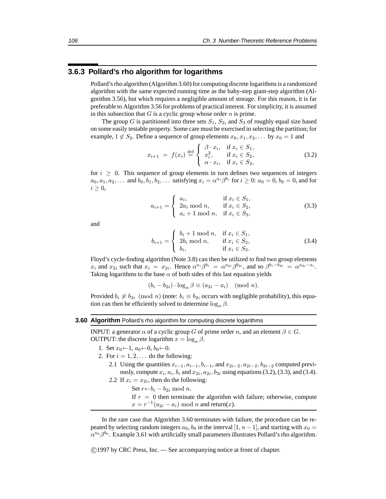### **3.6.3 Pollard's rho algorithm for logarithms**

Pollard's rho algorithm (Algorithm 3.60) for computing discrete logarithms is a randomized algorithm with the same expected running time as the baby-step giant-step algorithm (Algorithm 3.56), but which requires a negligible amount of storage. For this reason, it is far preferable to Algorithm 3.56 for problems of practical interest. For simplicity, it is assumed in this subsection that  $G$  is a cyclic group whose order  $n$  is prime.

The group G is partitioned into three sets  $S_1$ ,  $S_2$ , and  $S_3$  of roughly equal size based on some easily testable property. Some care must be exercised in selecting the partition; for example,  $1 \notin S_2$ . Define a sequence of group elements  $x_0, x_1, x_2, \ldots$  by  $x_0 = 1$  and

$$
x_{i+1} = f(x_i) \stackrel{\text{def}}{=} \begin{cases} \beta \cdot x_i, & \text{if } x_i \in S_1, \\ x_i^2, & \text{if } x_i \in S_2, \\ \alpha \cdot x_i, & \text{if } x_i \in S_3, \end{cases}
$$
 (3.2)

for  $i > 0$ . This sequence of group elements in turn defines two sequences of integers  $a_0, a_1, a_2,...$  and  $b_0, b_1, b_2,...$  satisfying  $x_i = \alpha^{a_i} \beta^{b_i}$  for  $i \geq 0$ :  $a_0 = 0, b_0 = 0$ , and for  $i \geq 0$ ,

$$
a_{i+1} = \begin{cases} a_i, & \text{if } x_i \in S_1, \\ 2a_i \mod n, & \text{if } x_i \in S_2, \\ a_i + 1 \mod n, & \text{if } x_i \in S_3, \end{cases}
$$
 (3.3)

and

$$
b_{i+1} = \begin{cases} b_i + 1 \mod n, & \text{if } x_i \in S_1, \\ 2b_i \mod n, & \text{if } x_i \in S_2, \\ b_i, & \text{if } x_i \in S_3. \end{cases}
$$
 (3.4)

Floyd's cycle-finding algorithm (Note 3.8) can then be utilized to find two group elements  $x_i$  and  $x_{2i}$  such that  $x_i = x_{2i}$ . Hence  $\alpha^{a_i} \beta^{b_i} = \alpha^{a_{2i}} \beta^{b_{2i}}$ , and so  $\beta^{b_i - b_{2i}} = \alpha^{a_{2i} - a_i}$ . Taking logarithms to the base  $\alpha$  of both sides of this last equation yields

 $(b_i - b_{2i}) \cdot \log_{\alpha} \beta \equiv (a_{2i} - a_i) \pmod{n}.$ 

Provided  $b_i \not\equiv b_{2i} \pmod{n}$  (note:  $b_i \equiv b_{2i}$  occurs with negligible probability), this equation can then be efficiently solved to determine  $\log_{\alpha} \beta$ .

### **3.60 Algorithm** Pollard's rho algorithm for computing discrete logarithms

INPUT: a generator  $\alpha$  of a cyclic group G of prime order n, and an element  $\beta \in G$ . OUTPUT: the discrete logarithm  $x = \log_{\alpha} \beta$ .

- 1. Set  $x_0 \leftarrow 1$ ,  $a_0 \leftarrow 0$ ,  $b_0 \leftarrow 0$ .
- 2. For  $i = 1, 2, \ldots$  do the following:
	- 2.1 Using the quantities  $x_{i-1}, a_{i-1}, b_{i-1}$ , and  $x_{2i-2}, a_{2i-2}, b_{2i-2}$  computed previously, compute  $x_i$ ,  $a_i$ ,  $b_i$  and  $x_{2i}$ ,  $a_{2i}$ ,  $b_{2i}$  using equations (3.2), (3.3), and (3.4). 2.2 If  $x_i = x_{2i}$ , then do the following:
		- Set  $r \leftarrow b_i b_{2i} \mod n$ .

If  $r = 0$  then terminate the algorithm with failure; otherwise, compute  $x = r^{-1}(a_{2i} - a_i) \bmod n$  and return(x).

In the rare case that Algorithm 3.60 terminates with failure, the procedure can be repeated by selecting random integers  $a_0$ ,  $b_0$  in the interval [1,  $n-1$ ], and starting with  $x_0 =$  $\alpha^{a_0}\beta^{b_0}$ . Example 3.61 with artificially small parameters illustrates Pollard's rho algorithm.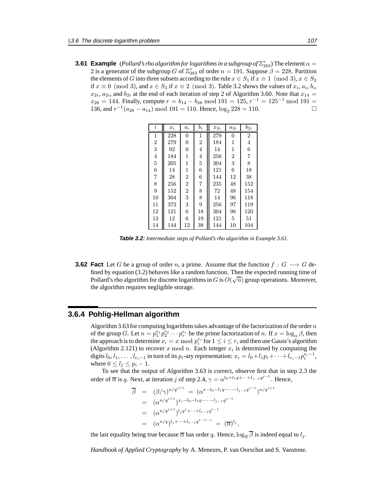**3.61 Example** (*Pollard's rho algorithm for logarithms in a subgroup of* $\mathbb{Z}_{383}^*$ ) The element  $\alpha =$ 2 is a generator of the subgroup G of  $\mathbb{Z}_{383}^{*}$  of order  $n = 191$ . Suppose  $\beta = 228$ . Partition the elements of G into three subsets according to the rule  $x \in S_1$  if  $x \equiv 1 \pmod{3}$ ,  $x \in S_2$ if  $x \equiv 0 \pmod{3}$ , and  $x \in S_3$  if  $x \equiv 2 \pmod{3}$ . Table 3.2 shows the values of  $x_i, a_i, b_i$ ,  $x_{2i}$ ,  $a_{2i}$ , and  $b_{2i}$  at the end of each iteration of step 2 of Algorithm 3.60. Note that  $x_{14} =$  $x_{28} = 144$ . Finally, compute  $r = b_{14} - b_{28} \mod 191 = 125$ ,  $r^{-1} = 125^{-1} \mod 191 =$ 136, and  $r^{-1}(a_{28} - a_{14})$  mod 191 = 110. Hence,  $\log_2 228 = 110$ . □

| $\dot{i}$      | $x_i$ | $a_i$          | $b_i$          | $x_{2i}$ | $a_{2i}$       | $b_{2i}$       |
|----------------|-------|----------------|----------------|----------|----------------|----------------|
| $\mathbf{1}$   | 228   | 0              | 1              | 279      | $\overline{0}$ | $\overline{2}$ |
| $\overline{2}$ | 279   | 0              | $\overline{2}$ | 184      | 1              | 4              |
| 3              | 92    | 0              | 4              | 14       | 1              | 6              |
| 4              | 184   | 1              | 4              | 256      | 2              | $\overline{7}$ |
| $\overline{5}$ | 205   | 1              | $\overline{5}$ | 304      | 3              | 8              |
| 6              | 14    | $\mathbf{1}$   | 6              | 121      | 6              | 18             |
| $\overline{7}$ | 28    | $\overline{2}$ | 6              | 144      | 12             | 38             |
| 8              | 256   | $\overline{2}$ | 7              | 235      | 48             | 152            |
| 9              | 152   | $\overline{2}$ | 8              | 72       | 48             | 154            |
| 10             | 304   | 3              | 8              | 14       | 96             | 118            |
| 11             | 372   | 3              | 9              | 256      | 97             | 119            |
| 12             | 121   | 6              | 18             | 304      | 98             | 120            |
| 13             | 12    | 6              | 19             | 121      | 5              | 51             |
| 14             | 144   | 12             | 38             | 144      | 10             | 104            |

**Table 3.2:** *Intermediate steps of Pollard's rho algorithm in Example 3.61.*

**3.62 Fact** Let G be a group of order n, a prime. Assume that the function  $f : G \longrightarrow G$  defined by equation (3.2) behaves like a random function. Then the expected running time of Find by equation (5.2) behaves like a random function. Then the expected funning time of Pollard's rho algorithm for discrete logarithms in  $G$  is  $O(\sqrt{n})$  group operations. Moreover, the algorithm requires negligible storage.

### **3.6.4 Pohlig-Hellman algorithm**

Algorithm 3.63 for computing logarithms takes advantage of the factorization of the order  $n$ of the group G. Let  $n = p_1^{e_1} p_2^{e_2} \cdots p_r^{e_r}$  be the prime factorization of n. If  $x = \log_\alpha \beta$ , then the approach is to determine  $x_i = x \bmod p_i^{e_i}$  for  $1 \leq i \leq r$ , and then use Gauss's algorithm (Algorithm 2.121) to recover x mod n. Each integer  $x_i$  is determined by computing the digits  $l_0, l_1, \ldots, l_{e_i-1}$  in turn of its  $p_i$ -ary representation:  $x_i = l_0 + l_1 p_i + \cdots + l_{e_i-1} p_i^{\overline{e}_i-1}$ , where  $0 \leq l_j \leq p_i - 1$ .

To see that the output of Algorithm 3.63 is correct, observe first that in step 2.3 the order of  $\overline{\alpha}$  is q. Next, at iteration j of step 2.4,  $\gamma = \alpha^{l_0 + l_1 q + \dots + l_{j-1} q^{j-1}}$ . Hence,

$$
\overline{\beta} = (\beta/\gamma)^{n/q^{j+1}} = (\alpha^{x-l_0-l_1q-\cdots-l_{j-1}q^{j-1}})^{n/q^{j+1}}
$$
\n
$$
= (\alpha^{n/q^{j+1}})^{x_i-l_0-l_1q-\cdots-l_{j-1}q^{j-1}}
$$
\n
$$
= (\alpha^{n/q^{j+1}})^{l_j q^j + \cdots + l_{e-1}q^{e-1}}
$$
\n
$$
= (\alpha^{n/q})^{l_j + \cdots + l_{e-1}q^{e-1-j}} = (\overline{\alpha})^{l_j},
$$

the last equality being true because  $\overline{\alpha}$  has order q. Hence,  $\log_{\overline{\alpha}} \overline{\beta}$  is indeed equal to  $l_i$ .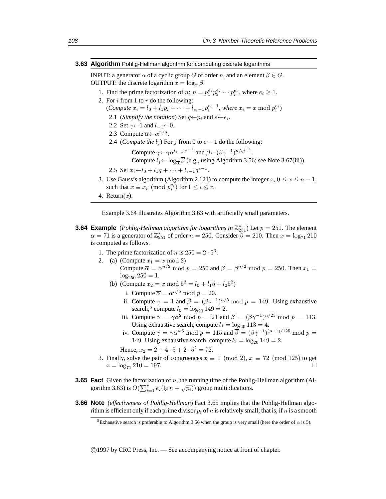#### **3.63 Algorithm** Pohlig-Hellman algorithm for computing discrete logarithms

INPUT: a generator  $\alpha$  of a cyclic group G of order n, and an element  $\beta \in G$ . OUTPUT: the discrete logarithm  $x = \log_{\alpha} \beta$ .

- 1. Find the prime factorization of n:  $n = p_1^{e_1} p_2^{e_2} \cdots p_r^{e_r}$ , where  $e_i \ge 1$ .
- 2. For  $i$  from 1 to  $r$  do the following:

(*Compute*  $x_i = l_0 + l_1 p_i + \cdots + l_{e_i-1} p_i^{e_i-1}$ , where  $x_i = x \mod p_i^{e_i}$ )

- 2.1 (*Simplify the notation*) Set  $q \leftarrow p_i$  and  $e \leftarrow e_i$ .
- 2.2 Set  $\gamma \leftarrow 1$  and  $l_{-1} \leftarrow 0$ .
- 2.3 Compute  $\overline{\alpha} \leftarrow \alpha^{n/q}$ .
- 2.4 (*Compute the*  $l_j$ ) For j from 0 to  $e 1$  do the following:

Compute  $\gamma \leftarrow \gamma \alpha^{l_{j-1}q^{j-1}}$  and  $\overline{\beta} \leftarrow (\beta \gamma^{-1})^{n/q^{j+1}}$ . Compute  $l_i \leftarrow \log_{\overline{\mathcal{O}}} \overline{\beta}$  (e.g., using Algorithm 3.56; see Note 3.67(iii)).

2.5 Set  $x_i \leftarrow l_0 + l_1q + \cdots + l_{e-1}q^{e-1}$ .

- 3. Use Gauss's algorithm (Algorithm 2.121) to compute the integer  $x, 0 \le x \le n 1$ , such that  $x \equiv x_i \pmod{p_i^{e_i}}$  for  $1 \le i \le r$ .
- 4. Return $(x)$ .

Example 3.64 illustrates Algorithm 3.63 with artificially small parameters.

### **3.64 Example** (*Pohlig-Hellman algorithm for logarithms in*  $\mathbb{Z}_{251}^*$ ) Let  $p = 251$ . The element  $\alpha = 71$  is a generator of  $\mathbb{Z}_{251}^*$  of order  $n = 250$ . Consider  $\beta = 210$ . Then  $x = \log_{71} 210$ is computed as follows.

- 1. The prime factorization of *n* is  $250 = 2 \cdot 5^3$ .
- 2. (a) (Compute  $x_1 = x \mod 2$ )
	- Compute  $\overline{\alpha} = \alpha^{n/2} \mod p = 250$  and  $\overline{\beta} = \beta^{n/2} \mod p = 250$ . Then  $x_1 =$  $\log_{250} 250 = 1.$
	- (b) (Compute  $x_2 = x \mod 5^3 = l_0 + l_1 5 + l_2 5^2$ )
		- i. Compute  $\overline{\alpha} = \alpha^{n/5} \text{ mod } p = 20$ .
		- ii. Compute  $\gamma = 1$  and  $\overline{\beta} = (\beta \gamma^{-1})^{n/5}$  mod  $p = 149$ . Using exhaustive search,<sup>5</sup> compute  $l_0 = \log_{20} 149 = 2$ .
		- iii. Compute  $\gamma = \gamma \alpha^2 \mod p = 21$  and  $\overline{\beta} = (\beta \gamma^{-1})^{n/25} \mod p = 113$ . Using exhaustive search, compute  $l_1 = \log_{20} 113 = 4$ .
		- iv. Compute  $\gamma = \gamma \alpha^{4.5} \mod p = 115$  and  $\overline{\beta} = (\beta \gamma^{-1})^{(p-1)/125} \mod p =$ 149. Using exhaustive search, compute  $l_2 = \log_{20} 149 = 2$ .

Hence,  $x_2 = 2 + 4 \cdot 5 + 2 \cdot 5^2 = 72$ .

- 3. Finally, solve the pair of congruences  $x \equiv 1 \pmod{2}$ ,  $x \equiv 72 \pmod{125}$  to get  $x = \log_{71} 210 = 197.$
- **3.65 Fact** Given the factorization of n, the running time of the Pohlig-Hellman algorithm (Al-**EXECUTE:** The interaction of *n*, the familing time of the Folling gorithm 3.63) is  $O(\sum_{i=1}^{r} e_i(\lg n + \sqrt{p_i}))$  group multiplications.
- **3.66 Note** (*effectiveness of Pohlig-Hellman*) Fact 3.65 implies that the Pohlig-Hellman algorithm is efficient only if each prime divisor  $p_i$  of n is relatively small; that is, if n is a smooth

<sup>&</sup>lt;sup>5</sup>Exhaustive search is preferable to Algorithm 3.56 when the group is very small (here the order of  $\bar{\alpha}$  is 5).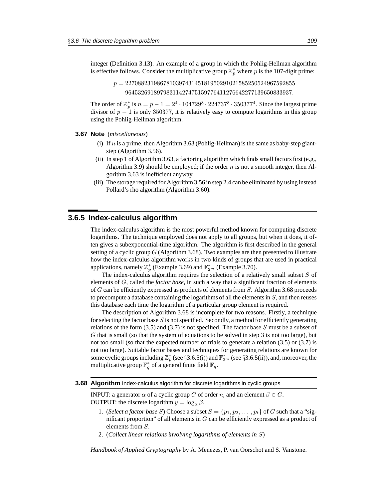integer (Definition 3.13). An example of a group in which the Pohlig-Hellman algorithm is effective follows. Consider the multiplicative group  $\mathbb{Z}_p^*$  where p is the 107-digit prime:

> $p = 227088231986781039743145181950291021585250524967592855$ 96453269189798311427475159776411276642277139650833937.

The order of  $\mathbb{Z}_p^*$  is  $n = p - 1 = 2^4 \cdot 104729^8 \cdot 224737^8 \cdot 350377^4$ . Since the largest prime divisor of  $p - 1$  is only 350377, it is relatively easy to compute logarithms in this group using the Pohlig-Hellman algorithm.

#### **3.67 Note** (*miscellaneous*)

- (i) If  $n$  is a prime, then Algorithm 3.63 (Pohlig-Hellman) is the same as baby-step giantstep (Algorithm 3.56).
- (ii) In step 1 of Algorithm 3.63, a factoring algorithm which finds small factors first (e.g., Algorithm 3.9) should be employed; if the order  $n$  is not a smooth integer, then Algorithm 3.63 is inefficient anyway.
- (iii) The storage required for Algorithm 3.56 in step 2.4 can be eliminated by using instead Pollard's rho algorithm (Algorithm 3.60).

### **3.6.5 Index-calculus algorithm**

The index-calculus algorithm is the most powerful method known for computing discrete logarithms. The technique employed does not apply to all groups, but when it does, it often gives a subexponential-time algorithm. The algorithm is first described in the general setting of a cyclic group  $G$  (Algorithm 3.68). Two examples are then presented to illustrate how the index-calculus algorithm works in two kinds of groups that are used in practical applications, namely  $\mathbb{Z}_p^*$  (Example 3.69) and  $\mathbb{F}_{2^m}^*$  (Example 3.70).

The index-calculus algorithm requires the selection of a relatively small subset S of elements of G, called the *factor base*, in such a way that a significant fraction of elements of G can be efficiently expressed as products of elements from S. Algorithm 3.68 proceeds to precompute a database containing the logarithms of all the elements in S, and then reuses this database each time the logarithm of a particular group element is required.

The description of Algorithm 3.68 is incomplete for two reasons. Firstly, a technique for selecting the factor base  $S$  is not specified. Secondly, a method for efficiently generating relations of the form  $(3.5)$  and  $(3.7)$  is not specified. The factor base S must be a subset of G that is small (so that the system of equations to be solved in step 3 is not too large), but not too small (so that the expected number of trials to generate a relation  $(3.5)$  or  $(3.7)$  is not too large). Suitable factor bases and techniques for generating relations are known for some cyclic groups including  $\mathbb{Z}_p^*$  (see §3.6.5(i)) and  $\mathbb{F}_{2^m}^*$  (see §3.6.5(ii)), and, moreover, the multiplicative group  $\mathbb{F}_q^*$  of a general finite field  $\mathbb{F}_q$ .

#### **3.68 Algorithm** Index-calculus algorithm for discrete logarithms in cyclic groups

INPUT: a generator  $\alpha$  of a cyclic group G of order n, and an element  $\beta \in G$ . OUTPUT: the discrete logarithm  $y = \log_{\alpha} \beta$ .

- 1. (*Select a factor base S*) Choose a subset  $S = \{p_1, p_2, \dots, p_t\}$  of G such that a "significant proportion" of all elements in  $G$  can be efficiently expressed as a product of elements from S.
- 2. (*Collect linear relations involving logarithms of elements in* S)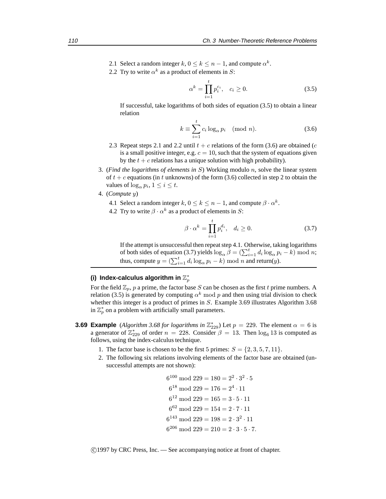- 2.1 Select a random integer  $k, 0 \le k \le n 1$ , and compute  $\alpha^k$ .
- 2.2 Try to write  $\alpha^{k}$  as a product of elements in S:

$$
\alpha^k = \prod_{i=1}^t p_i^{c_i}, \quad c_i \ge 0.
$$
 (3.5)

If successful, take logarithms of both sides of equation (3.5) to obtain a linear relation

$$
k \equiv \sum_{i=1}^{t} c_i \log_{\alpha} p_i \pmod{n}.
$$
 (3.6)

- 2.3 Repeat steps 2.1 and 2.2 until  $t + c$  relations of the form (3.6) are obtained (c is a small positive integer, e.g.  $c = 10$ , such that the system of equations given by the  $t + c$  relations has a unique solution with high probability).
- 3. (*Find the logarithms of elements in* S) Working modulo n, solve the linear system of  $t + c$  equations (in t unknowns) of the form (3.6) collected in step 2 to obtain the values of  $\log_{\alpha} p_i$ ,  $1 \leq i \leq t$ .
- 4. (*Compute* y)
	- 4.1 Select a random integer k,  $0 \le k \le n-1$ , and compute  $\beta \cdot \alpha^k$ .
	- 4.2 Try to write  $\beta \cdot \alpha^k$  as a product of elements in S:

$$
\beta \cdot \alpha^k = \prod_{i=1}^t p_i^{d_i}, \quad d_i \ge 0. \tag{3.7}
$$

If the attempt is unsuccessful then repeat step 4.1. Otherwise, taking logarithms of both sides of equation (3.7) yields  $\log_{\alpha} \hat{\beta} = (\sum_{i=1}^{t} d_i \log_{\alpha} p_i - k) \mod n;$ thus, compute  $y = (\sum_{i=1}^{t} d_i \log_{\alpha} p_i - k) \mod n$  and return(y).

### (i) Index-calculus algorithm in  $\mathbb{Z}_p^*$

For the field  $\mathbb{Z}_p$ , p a prime, the factor base S can be chosen as the first t prime numbers. A relation (3.5) is generated by computing  $\alpha^{k}$  mod p and then using trial division to check whether this integer is a product of primes in S. Example 3.69 illustrates Algorithm 3.68 in  $\mathbb{Z}_p^*$  on a problem with artificially small parameters.

- **3.69 Example** (*Algorithm 3.68 for logarithms in*  $\mathbb{Z}_{229}^*$ ) Let  $p = 229$ . The element  $\alpha = 6$  is a generator of  $\mathbb{Z}_{229}^*$  of order  $n = 228$ . Consider  $\beta = 13$ . Then  $\log_6 13$  is computed as follows, using the index-calculus technique.
	- 1. The factor base is chosen to be the first 5 primes:  $S = \{2, 3, 5, 7, 11\}$ .
	- 2. The following six relations involving elements of the factor base are obtained (unsuccessful attempts are not shown):

```
6^{100} \mod 229 = 180 = 2^2 \cdot 3^2 \cdot 56^{18} \mod 229 = 176 = 2^4 \cdot 116^{12} \mod 229 = 165 = 3 \cdot 5 \cdot 116^{62} \mod 229 = 154 = 2 \cdot 7 \cdot 116^{143} mod 229 = 198 = 2 \cdot 3^2 \cdot 116^{206} \text{ mod } 229 = 210 = 2 \cdot 3 \cdot 5 \cdot 7.
```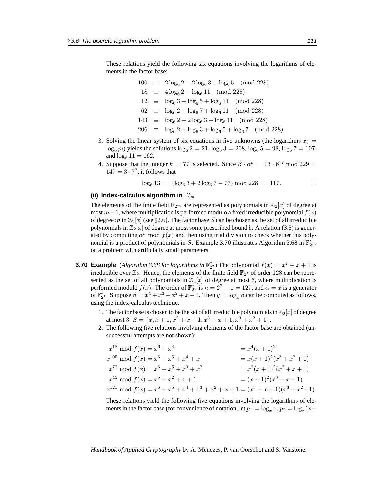These relations yield the following six equations involving the logarithms of elements in the factor base:

$$
100 \equiv 2 \log_6 2 + 2 \log_6 3 + \log_6 5 \pmod{228}
$$
  
\n
$$
18 \equiv 4 \log_6 2 + \log_6 11 \pmod{228}
$$
  
\n
$$
12 \equiv \log_6 3 + \log_6 5 + \log_6 11 \pmod{228}
$$
  
\n
$$
62 \equiv \log_6 2 + \log_6 7 + \log_6 11 \pmod{228}
$$
  
\n
$$
143 \equiv \log_6 2 + 2 \log_6 3 + \log_6 11 \pmod{228}
$$
  
\n
$$
206 \equiv \log_6 2 + \log_6 3 + \log_6 5 + \log_6 7 \pmod{228}.
$$

- 3. Solving the linear system of six equations in five unknowns (the logarithms  $x_i =$  $\log_6 p_i$ ) yields the solutions  $\log_6 2 = 21$ ,  $\log_6 3 = 208$ ,  $\log_6 5 = 98$ ,  $\log_6 7 = 107$ , and  $log_6 11 = 162$ .
- 4. Suppose that the integer  $k = 77$  is selected. Since  $\beta \cdot \alpha^k = 13 \cdot 6^{77} \text{ mod } 229 =$  $147 = 3 \cdot 7^2$ , it follows that

$$
\log_6 13 = (\log_6 3 + 2 \log_6 7 - 77) \mod 228 = 117. \square
$$

### (ii) Index-calculus algorithm in  $\mathbb{F}_{2^m}^*$

The elements of the finite field  $\mathbb{F}_{2^m}$  are represented as polynomials in  $\mathbb{Z}_2[x]$  of degree at most  $m-1$ , where multiplication is performed modulo a fixed irreducible polynomial  $f(x)$ of degree m in  $\mathbb{Z}_2[x]$  (see §2.6). The factor base S can be chosen as the set of all irreducible polynomials in  $\mathbb{Z}_2[x]$  of degree at most some prescribed bound b. A relation (3.5) is generated by computing  $\alpha^k \mod f(x)$  and then using trial division to check whether this polynomial is a product of polynomials in S. Example 3.70 illustrates Algorithm 3.68 in  $\mathbb{F}_{2^m}^*$ on a problem with artificially small parameters.

- **3.70 Example** (*Algorithm 3.68 for logarithms in*  $\mathbb{F}_2^*$ ) The polynomial  $f(x) = x^7 + x + 1$  is irreducible over  $\mathbb{Z}_2$ . Hence, the elements of the finite field  $\mathbb{F}_{2^7}$  of order 128 can be represented as the set of all polynomials in  $\mathbb{Z}_2[x]$  of degree at most 6, where multiplication is performed modulo  $f(x)$ . The order of  $\mathbb{F}_{2^7}^*$  is  $n = 2^7 - 1 = 127$ , and  $\alpha = x$  is a generator of  $\mathbb{F}_{2^7}^*$ . Suppose  $\beta = x^4 + x^3 + x^2 + x + 1$ . Then  $y = \log_x \beta$  can be computed as follows, using the index-calculus technique.
	- 1. The factor base is chosen to be the set of all irreducible polynomials in  $\mathbb{Z}_2[x]$  of degree at most 3:  $S = \{x, x+1, x^2+x+1, x^3+x+1, x^3+x^2+1\}.$
	- 2. The following five relations involving elements of the factor base are obtained (unsuccessful attempts are not shown):

$$
x^{18} \mod f(x) = x^6 + x^4 = x^4(x+1)^2
$$
  
\n
$$
x^{105} \mod f(x) = x^6 + x^5 + x^4 + x = x(x+1)^2(x^3 + x^2 + 1)
$$
  
\n
$$
x^{72} \mod f(x) = x^6 + x^5 + x^3 + x^2 = x^2(x+1)^2(x^2 + x + 1)
$$
  
\n
$$
x^{45} \mod f(x) = x^5 + x^2 + x + 1 = (x+1)^2(x^3 + x + 1)
$$
  
\n
$$
x^{121} \mod f(x) = x^6 + x^5 + x^4 + x^3 + x^2 + x + 1 = (x^3 + x + 1)(x^3 + x^2 + 1).
$$

These relations yield the following five equations involving the logarithms of elements in the factor base (for convenience of notation, let  $p_1 = \log_x x, p_2 = \log_x(x+$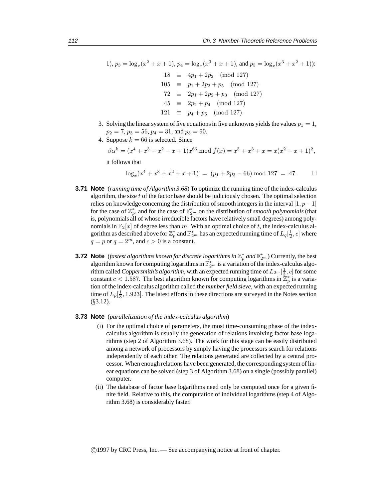1), 
$$
p_3 = \log_x(x^2 + x + 1)
$$
,  $p_4 = \log_x(x^3 + x + 1)$ , and  $p_5 = \log_x(x^3 + x^2 + 1)$ :  
\n18  $\equiv 4p_1 + 2p_2 \pmod{127}$   
\n105  $\equiv p_1 + 2p_2 + p_5 \pmod{127}$   
\n72  $\equiv 2p_1 + 2p_2 + p_3 \pmod{127}$   
\n45  $\equiv 2p_2 + p_4 \pmod{127}$   
\n121  $\equiv p_4 + p_5 \pmod{127}$ .

- 3. Solving the linear system of five equations in five unknowns yields the values  $p_1 = 1$ ,  $p_2 = 7$ ,  $p_3 = 56$ ,  $p_4 = 31$ , and  $p_5 = 90$ .
- 4. Suppose  $k = 66$  is selected. Since

$$
\beta\alpha^k = (x^4 + x^3 + x^2 + x + 1)x^{66} \text{ mod } f(x) = x^5 + x^3 + x = x(x^2 + x + 1)^2,
$$

it follows that

$$
\log_x(x^4 + x^3 + x^2 + x + 1) = (p_1 + 2p_3 - 66) \bmod 127 = 47. \square
$$

- **3.71 Note** (*running time of Algorithm 3.68*) To optimize the running time of the index-calculus algorithm, the size  $t$  of the factor base should be judiciously chosen. The optimal selection relies on knowledge concerning the distribution of smooth integers in the interval [1,  $p-1$ ] for the case of  $\mathbb{Z}_p^*$ , and for the case of  $\mathbb{F}_{2^m}^*$  on the distribution of *smooth polynomials* (that is, polynomials all of whose irreducible factors have relatively small degrees) among polynomials in  $\mathbb{F}_2[x]$  of degree less than m. With an optimal choice of t, the index-calculus algorithm as described above for  $\mathbb{Z}_p^*$  and  $\mathbb{F}_{2^m}^*$  has an expected running time of  $L_q[\frac{1}{2}, c]$  where  $q = p$  or  $q = 2^m$ , and  $c > 0$  is a constant.
- **3.72 Note** (*fastest algorithms known for discrete logarithms in*  $\mathbb{Z}_p^*$  *and*  $\mathbb{F}_{2^m}^*$ ) Currently, the best algorithm known for computing logarithms in  $\mathbb{F}_{2^m}^*$  is a variation of the index-calculus algorithm called *Coppersmith's algorithm*, with an expected running time of  $L_{2^m}[\frac{1}{3}, c]$  for some constant  $c < 1.587$ . The best algorithm known for computing logarithms in  $\mathbb{Z}_p^*$  is a variation of the index-calculus algorithm called the *number field sieve*, with an expected running time of  $L_p[\frac{1}{3}, 1.923]$ . The latest efforts in these directions are surveyed in the Notes section (§3.12).
- **3.73 Note** (*parallelization of the index-calculus algorithm*)
	- (i) For the optimal choice of parameters, the most time-consuming phase of the indexcalculus algorithm is usually the generation of relations involving factor base logarithms (step 2 of Algorithm 3.68). The work for this stage can be easily distributed among a network of processors by simply having the processors search for relations independently of each other. The relations generated are collected by a central processor. When enough relations have been generated, the corresponding system of linear equations can be solved (step 3 of Algorithm 3.68) on a single (possibly parallel) computer.
	- (ii) The database of factor base logarithms need only be computed once for a given finite field. Relative to this, the computation of individual logarithms (step 4 of Algorithm 3.68) is considerably faster.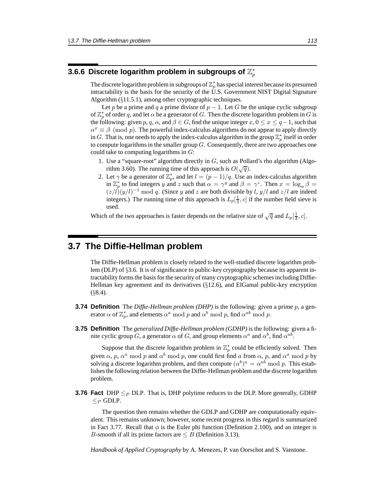### 3.6.6 Discrete logarithm problem in subgroups of  $\mathbb{Z}_p^*$

The discrete logarithm problem in subgroups of  $\mathbb{Z}_p^*$  has special interest because its presumed intractability is the basis for the security of the U.S. Government NIST Digital Signature Algorithm (§11.5.1), among other cryptographic techniques.

Let p be a prime and q a prime divisor of  $p - 1$ . Let G be the unique cyclic subgroup of  $\mathbb{Z}_p^*$  of order q, and let  $\alpha$  be a generator of G. Then the discrete logarithm problem in G is the following: given p, q,  $\alpha$ , and  $\beta \in G$ , find the unique integer  $x, 0 \le x \le q-1$ , such that  $\alpha^x \equiv \beta \pmod{p}$ . The powerful index-calculus algorithms do not appear to apply directly in G. That is, one needs to apply the index-calculus algorithm in the group  $\mathbb{Z}_p^*$  itself in order to compute logarithms in the smaller group  $G$ . Consequently, there are two approaches one could take to computing logarithms in  $G$ :

- 1. Use a "square-root" algorithm directly in G, such as Pollard's rho algorithm (Algorithm 3.60). The running time of this approach is  $O(\sqrt{q})$ .
- 2. Let  $\gamma$  be a generator of  $\mathbb{Z}_p^*$ , and let  $l = (p-1)/q$ . Use an index-calculus algorithm in  $\mathbb{Z}_p^*$  to find integers y and z such that  $\alpha = \gamma^y$  and  $\beta = \gamma^z$ . Then  $x = \log_{\alpha} \beta =$  $(z/l)(y/l)^{-1}$  mod q. (Since y and z are both divisible by l, y/l and  $z/l$  are indeed integers.) The running time of this approach is  $L_p[\frac{1}{3}, c]$  if the number field sieve is used.

Which of the two approaches is faster depends on the relative size of  $\sqrt{q}$  and  $L_p[\frac{1}{3}, c]$ .

### **3.7 The Diffie-Hellman problem**

The Diffie-Hellman problem is closely related to the well-studied discrete logarithm problem (DLP) of §3.6. It is of significance to public-key cryptography because its apparent intractability forms the basis for the security of many cryptographic schemes including Diffie-Hellman key agreement and its derivatives (§12.6), and ElGamal public-key encryption  $(88.4)$ .

- **3.74 Definition** The *Diffie-Hellman problem (DHP)* is the following: given a prime p, a generator  $\alpha$  of  $\mathbb{Z}_p^*$ , and elements  $\alpha^a \bmod p$  and  $\alpha^b \bmod p$ , find  $\alpha^{ab} \bmod p$ .
- **3.75 Definition** The *generalized Diffie-Hellman problem (GDHP)* is the following: given a finite cyclic group G, a generator  $\alpha$  of G, and group elements  $\alpha^a$  and  $\alpha^b$ , find  $\alpha^{ab}$ .

Suppose that the discrete logarithm problem in  $\mathbb{Z}_p^*$  could be efficiently solved. Then given  $\alpha$ , p,  $\alpha^a$  mod p and  $\alpha^b$  mod p, one could first find a from  $\alpha$ , p, and  $\alpha^a$  mod p by solving a discrete logarithm problem, and then compute  $(\alpha^b)^a = \alpha^{ab} \mod p$ . This establishes the following relation between the Diffie-Hellman problem and the discrete logarithm problem.

**3.76 Fact** DHP  $\leq_P$  DLP. That is, DHP polytime reduces to the DLP. More generally, GDHP  $\lt_P$  GDLP.

The question then remains whether the GDLP and GDHP are computationally equivalent. This remains unknown; however, some recent progress in this regard is summarized in Fact 3.77. Recall that  $\phi$  is the Euler phi function (Definition 2.100), and an integer is B-smooth if all its prime factors are  $\leq B$  (Definition 3.13).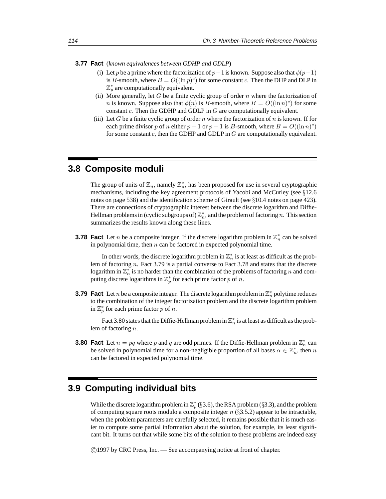**3.77 Fact** (*known equivalences between GDHP and GDLP*)

- (i) Let p be a prime where the factorization of  $p-1$  is known. Suppose also that  $\phi(p-1)$ is B-smooth, where  $B = O((\ln p)^c)$  for some constant c. Then the DHP and DLP in  $\mathbb{Z}_p^*$  are computationally equivalent.
- (ii) More generally, let  $G$  be a finite cyclic group of order  $n$  where the factorization of *n* is known. Suppose also that  $\phi(n)$  is *B*-smooth, where  $B = O((\ln n)^c)$  for some constant  $c$ . Then the GDHP and GDLP in  $G$  are computationally equivalent.
- (iii) Let G be a finite cyclic group of order n where the factorization of n is known. If for each prime divisor p of n either  $p - 1$  or  $p + 1$  is B-smooth, where  $B = O((\ln n)^c)$ for some constant  $c$ , then the GDHP and GDLP in  $G$  are computationally equivalent.

### **3.8 Composite moduli**

The group of units of  $\mathbb{Z}_n$ , namely  $\mathbb{Z}_n^*$ , has been proposed for use in several cryptographic mechanisms, including the key agreement protocols of Yacobi and McCurley (see §12.6 notes on page 538) and the identification scheme of Girault (see §10.4 notes on page 423). There are connections of cryptographic interest between the discrete logarithm and Diffie-Hellman problems in (cyclic subgroups of)  $\mathbb{Z}_n^*$ , and the problem of factoring n. This section summarizes the results known along these lines.

**3.78 Fact** Let *n* be a composite integer. If the discrete logarithm problem in  $\mathbb{Z}_n^*$  can be solved in polynomial time, then  $n$  can be factored in expected polynomial time.

In other words, the discrete logarithm problem in  $\mathbb{Z}_n^*$  is at least as difficult as the problem of factoring n. Fact 3.79 is a partial converse to Fact 3.78 and states that the discrete logarithm in  $\mathbb{Z}_n^*$  is no harder than the combination of the problems of factoring n and computing discrete logarithms in  $\mathbb{Z}_p^*$  for each prime factor p of n.

**3.79 Fact** Let *n* be a composite integer. The discrete logarithm problem in  $\mathbb{Z}_n^*$  polytime reduces to the combination of the integer factorization problem and the discrete logarithm problem in  $\mathbb{Z}_p^*$  for each prime factor p of n.

Fact 3.80 states that the Diffie-Hellman problem in  $\mathbb{Z}_n^*$  is at least as difficult as the problem of factoring n.

**3.80 Fact** Let  $n = pq$  where p and q are odd primes. If the Diffie-Hellman problem in  $\mathbb{Z}_n^*$  can be solved in polynomial time for a non-negligible proportion of all bases  $\alpha \in \mathbb{Z}_n^*$ , then n can be factored in expected polynomial time.

### **3.9 Computing individual bits**

While the discrete logarithm problem in  $\mathbb{Z}_p^*$  (§3.6), the RSA problem (§3.3), and the problem of computing square roots modulo a composite integer  $n$  (§3.5.2) appear to be intractable, when the problem parameters are carefully selected, it remains possible that it is much easier to compute some partial information about the solution, for example, its least significant bit. It turns out that while some bits of the solution to these problems are indeed easy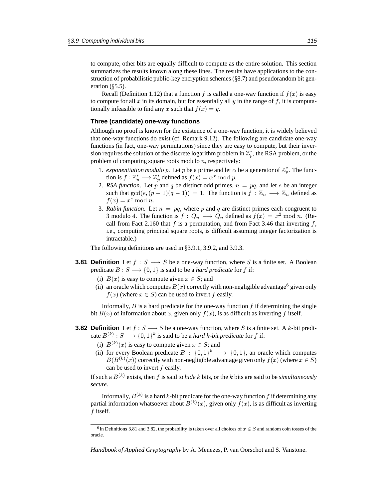to compute, other bits are equally difficult to compute as the entire solution. This section summarizes the results known along these lines. The results have applications to the construction of probabilistic public-key encryption schemes  $(\S 8.7)$  and pseudorandom bit generation  $(\S 5.5)$ .

Recall (Definition 1.12) that a function f is called a one-way function if  $f(x)$  is easy to compute for all x in its domain, but for essentially all y in the range of f, it is computationally infeasible to find any x such that  $f(x) = y$ .

#### **Three (candidate) one-way functions**

Although no proof is known for the existence of a one-way function, it is widely believed that one-way functions do exist (cf. Remark 9.12). The following are candidate one-way functions (in fact, one-way permutations) since they are easy to compute, but their inversion requires the solution of the discrete logarithm problem in  $\mathbb{Z}_p^*$ , the RSA problem, or the problem of computing square roots modulo  $n$ , respectively:

- 1. *exponentiation modulo p*. Let *p* be a prime and let  $\alpha$  be a generator of  $\mathbb{Z}_p^*$ . The function is  $f: \mathbb{Z}_p^* \longrightarrow \mathbb{Z}_p^*$  defined as  $f(x) = \alpha^x \bmod p$ .
- 2. *RSA function*. Let p and q be distinct odd primes,  $n = pq$ , and let e be an integer such that  $gcd(e,(p-1)(q-1)) = 1$ . The function is  $f : \mathbb{Z}_n \longrightarrow \mathbb{Z}_n$  defined as  $f(x) = x^e \bmod n.$
- 3. *Rabin function*. Let  $n = pq$ , where p and q are distinct primes each congruent to 3 modulo 4. The function is  $f: Q_n \longrightarrow Q_n$  defined as  $f(x) = x^2 \mod n$ . (Recall from Fact 2.160 that f is a permutation, and from Fact 3.46 that inverting f, i.e., computing principal square roots, is difficult assuming integer factorization is intractable.)

The following definitions are used in §3.9.1, 3.9.2, and 3.9.3.

- **3.81 Definition** Let  $f : S \longrightarrow S$  be a one-way function, where S is a finite set. A Boolean predicate  $B: S \longrightarrow \{0, 1\}$  is said to be a *hard predicate* for f if:
	- (i)  $B(x)$  is easy to compute given  $x \in S$ ; and
	- (ii) an oracle which computes  $B(x)$  correctly with non-negligible advantage<sup>6</sup> given only  $f(x)$  (where  $x \in S$ ) can be used to invert f easily.

Informally,  $B$  is a hard predicate for the one-way function  $f$  if determining the single bit  $B(x)$  of information about x, given only  $f(x)$ , is as difficult as inverting f itself.

- **3.82 Definition** Let  $f : S \longrightarrow S$  be a one-way function, where S is a finite set. A k-bit predicate  $B^{(k)}$  :  $S \longrightarrow \{0,1\}^k$  is said to be a *hard k-bit predicate* for f if:
	- (i)  $B^{(k)}(x)$  is easy to compute given  $x \in S$ ; and
	- (ii) for every Boolean predicate  $B : \{0,1\}^k \longrightarrow \{0,1\}$ , an oracle which computes  $B(B^{(k)}(x))$  correctly with non-negligible advantage given only  $f(x)$  (where  $x \in S$ ) can be used to invert  $f$  easily.

If such a  $B^{(k)}$  exists, then f is said to *hide* k bits, or the k bits are said to be *simultaneously secure*.

Informally,  $B^{(k)}$  is a hard k-bit predicate for the one-way function f if determining any partial information whatsoever about  $B^{(k)}(x)$ , given only  $f(x)$ , is as difficult as inverting  $f$  itself.

<sup>&</sup>lt;sup>6</sup>In Definitions 3.81 and 3.82, the probability is taken over all choices of  $x \in S$  and random coin tosses of the oracle.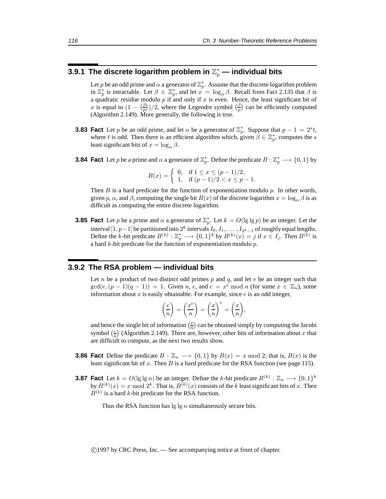### 3.9.1 The discrete logarithm problem in  $\mathbb{Z}_p^*$  — individual bits

Let p be an odd prime and  $\alpha$  a generator of  $\mathbb{Z}_p^*$ . Assume that the discrete logarithm problem in  $\mathbb{Z}_p^*$  is intractable. Let  $\beta \in \mathbb{Z}_p^*$ , and let  $x = \log_{\alpha} \beta$ . Recall from Fact 2.135 that  $\beta$  is a quadratic residue modulo  $p$  if and only if  $x$  is even. Hence, the least significant bit of x is equal to  $(1 - \binom{\beta}{p})/2$ , where the Legendre symbol  $\binom{\beta}{p}$  can be efficiently computed (Algorithm 2.149). More generally, the following is true.

- **3.83 Fact** Let p be an odd prime, and let  $\alpha$  be a generator of  $\mathbb{Z}_p^*$ . Suppose that  $p 1 = 2^s t$ , where t is odd. Then there is an efficient algorithm which, given  $\hat{\beta} \in \mathbb{Z}_p^*$ , computes the s least significant bits of  $x = \log_{\alpha} \beta$ .
- **3.84 Fact** Let *p* be a prime and  $\alpha$  a generator of  $\mathbb{Z}_p^*$ . Define the predicate  $B: \mathbb{Z}_p^* \longrightarrow \{0,1\}$  by

$$
B(x) = \begin{cases} 0, & \text{if } 1 \le x \le (p-1)/2, \\ 1, & \text{if } (p-1)/2 < x \le p-1. \end{cases}
$$

Then  $B$  is a hard predicate for the function of exponentiation modulo  $p$ . In other words, given p,  $\alpha$ , and  $\beta$ , computing the single bit  $B(x)$  of the discrete logarithm  $x = \log_{\alpha} \beta$  is as difficult as computing the entire discrete logarithm.

**3.85 Fact** Let p be a prime and  $\alpha$  a generator of  $\mathbb{Z}_p^*$ . Let  $k = O(\lg \lg p)$  be an integer. Let the interval  $[1, p-1]$  be partitioned into  $2^k$  intervals  $I_0, I_1, \ldots, I_{2^k-1}$  of roughly equal lengths. Define the k-bit predicate  $B^{(k)}: \mathbb{Z}_p^* \longrightarrow \{0,1\}^k$  by  $B^{(k)}(x) = j$  if  $x \in I_j$ . Then  $B^{(k)}$  is a hard  $k$ -bit predicate for the function of exponentiation modulo  $p$ .

### **3.9.2 The RSA problem — individual bits**

Let n be a product of two distinct odd primes p and q, and let  $e$  be an integer such that  $gcd(e,(p-1)(q-1)) = 1$ . Given n, e, and  $c = x^e \mod n$  (for some  $x \in \mathbb{Z}_n$ ), some information about  $x$  is easily obtainable. For example, since  $e$  is an odd integer,

$$
\left(\frac{c}{n}\right) = \left(\frac{x^e}{n}\right) = \left(\frac{x}{n}\right)^e = \left(\frac{x}{n}\right),
$$

and hence the single bit of information  $\left(\frac{x}{n}\right)$  can be obtained simply by computing the Jacobi symbol  $\left(\frac{c}{n}\right)$  (Algorithm 2.149). There are, however, other bits of information about x that are difficult to compute, as the next two results show.

- **3.86 Fact** Define the predicate  $B : \mathbb{Z}_n \longrightarrow \{0,1\}$  by  $B(x) = x \mod 2$ ; that is,  $B(x)$  is the least significant bit of  $x$ . Then  $B$  is a hard predicate for the RSA function (see page 115).
- **3.87 Fact** Let  $k = O(\lg \lg n)$  be an integer. Define the k-bit predicate  $B^{(k)} : \mathbb{Z}_n \longrightarrow \{0,1\}^k$ by  $B^{(k)}(x) = x \mod 2^{k}$ . That is,  $B^{(k)}(x)$  consists of the k least significant bits of x. Then  $B^{(k)}$  is a hard k-bit predicate for the RSA function.

Thus the RSA function has  $\lg \lg n$  simultaneously secure bits.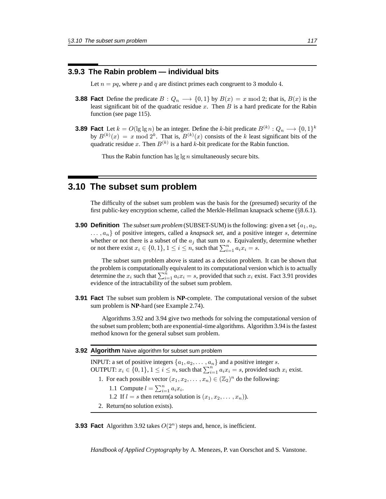### **3.9.3 The Rabin problem — individual bits**

Let  $n = pq$ , where p and q are distinct primes each congruent to 3 modulo 4.

- **3.88 Fact** Define the predicate  $B: Q_n \longrightarrow \{0,1\}$  by  $B(x) = x \mod 2$ ; that is,  $B(x)$  is the least significant bit of the quadratic residue  $x$ . Then  $B$  is a hard predicate for the Rabin function (see page 115).
- **3.89 Fact** Let  $k = O(\lg \lg n)$  be an integer. Define the k-bit predicate  $B^{(k)}: Q_n \longrightarrow \{0,1\}^k$ by  $B^{(k)}(x) = x \mod 2^k$ . That is,  $B^{(k)}(x)$  consists of the k least significant bits of the quadratic residue x. Then  $B^{(k)}$  is a hard k-bit predicate for the Rabin function.

Thus the Rabin function has  $\lg \lg n$  simultaneously secure bits.

### **3.10 The subset sum problem**

The difficulty of the subset sum problem was the basis for the (presumed) security of the first public-key encryption scheme, called the Merkle-Hellman knapsack scheme (§8.6.1).

**3.90 Definition** The *subset sum problem* (SUBSET-SUM) is the following: given a set {a1, a2,  $..., a_n$  of positive integers, called a *knapsack set*, and a positive integer s, determine whether or not there is a subset of the  $a_i$  that sum to s. Equivalently, determine whether or not there exist  $x_i \in \{0, 1\}$ ,  $1 \le i \le n$ , such that  $\sum_{i=1}^n a_i x_i = s$ .

The subset sum problem above is stated as a decision problem. It can be shown that the problem is computationally equivalent to its computational version which is to actually determine the  $x_i$  such that  $\sum_{i=1}^{n} a_i x_i = s$ , provided that such  $x_i$  exist. Fact 3.91 provides evidence of the intractability of the subset sum problem.

**3.91 Fact** The subset sum problem is **NP**-complete. The computational version of the subset sum problem is **NP**-hard (see Example 2.74).

Algorithms 3.92 and 3.94 give two methods for solving the computational version of the subset sum problem; both are exponential-time algorithms. Algorithm 3.94 is the fastest method known for the general subset sum problem.

#### **3.92 Algorithm** Naive algorithm for subset sum problem

INPUT: a set of positive integers  $\{a_1, a_2, \ldots, a_n\}$  and a positive integer s. OUTPUT:  $x_i \in \{0, 1\}$ ,  $1 \le i \le n$ , such that  $\sum_{i=1}^n a_i x_i = s$ , provided such  $x_i$  exist. 1. For each possible vector  $(x_1, x_2,..., x_n) \in (\mathbb{Z}_2)^n$  do the following: 1.1 Compute  $l = \sum_{i=1}^{n} a_i x_i$ . 1.2 If  $l = s$  then return(a solution is  $(x_1, x_2, \ldots, x_n)$ ). 2. Return(no solution exists).

**3.93 Fact** Algorithm 3.92 takes  $O(2^n)$  steps and, hence, is inefficient.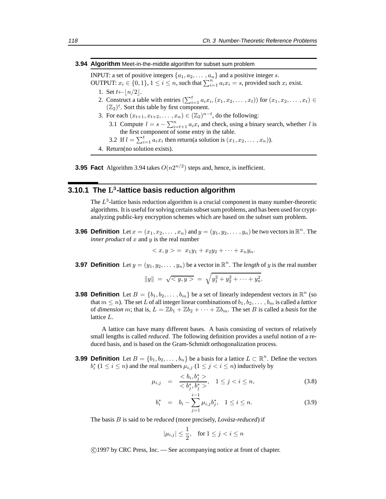#### **3.94 Algorithm** Meet-in-the-middle algorithm for subset sum problem

INPUT: a set of positive integers  $\{a_1, a_2, \ldots, a_n\}$  and a positive integer s.

- OUTPUT:  $x_i \in \{0,1\}$ ,  $1 \le i \le n$ , such that  $\sum_{i=1}^n a_i x_i = s$ , provided such  $x_i$  exist.
	- 1. Set  $t \leftarrow \lfloor n/2 \rfloor$ .
	- 2. Construct a table with entries  $\left(\sum_{i=1}^{t} a_i x_i, (x_1, x_2, \ldots, x_t)\right)$  for  $(x_1, x_2, \ldots, x_t) \in$  $(\mathbb{Z}_2)^t$ . Sort this table by first component.
	- 3. For each  $(x_{t+1}, x_{t+2}, \ldots, x_n) \in (\mathbb{Z}_2)^{n-t}$ , do the following:
		- 3.1 Compute  $l = s \sum_{i=t+1}^{n} a_i x_i$  and check, using a binary search, whether l is the first component of some entry in the table.
		- 3.2 If  $l = \sum_{i=1}^{t} a_i x_i$  then return(a solution is  $(x_1, x_2, \dots, x_n)$ ).
	- 4. Return(no solution exists).



### **3.10.1 The** L<sup>3</sup>**-lattice basis reduction algorithm**

The  $L<sup>3</sup>$ -lattice basis reduction algorithm is a crucial component in many number-theoretic algorithms. It is useful for solving certain subset sum problems, and has been used for cryptanalyzing public-key encryption schemes which are based on the subset sum problem.

**3.96 Definition** Let  $x = (x_1, x_2, \dots, x_n)$  and  $y = (y_1, y_2, \dots, y_n)$  be two vectors in  $\mathbb{R}^n$ . The *inner product* of  $x$  and  $y$  is the real number

$$
\langle x, y \rangle = x_1 y_1 + x_2 y_2 + \dots + x_n y_n.
$$

**3.97 Definition** Let  $y = (y_1, y_2, \dots, y_n)$  be a vector in  $\mathbb{R}^n$ . The *length* of y is the real number

$$
||y|| = \sqrt{} = \sqrt{y_1^2 + y_2^2 + \dots + y_n^2}.
$$

**3.98 Definition** Let  $B = \{b_1, b_2, \ldots, b_m\}$  be a set of linearly independent vectors in  $\mathbb{R}^n$  (so that  $m \leq n$ ). The set L of all integer linear combinations of  $b_1, b_2, \ldots, b_m$  is called a *lattice* of *dimension* m; that is,  $L = \mathbb{Z}b_1 + \mathbb{Z}b_2 + \cdots + \mathbb{Z}b_m$ . The set B is called a *basis* for the lattice L.

A lattice can have many different bases. A basis consisting of vectors of relatively small lengths is called *reduced*. The following definition provides a useful notion of a reduced basis, and is based on the Gram-Schmidt orthogonalization process.

**3.99 Definition** Let  $B = \{b_1, b_2, \ldots, b_n\}$  be a basis for a lattice  $L \subset \mathbb{R}^n$ . Define the vectors  $b_i^*$  ( $1 \le i \le n$ ) and the real numbers  $\mu_{i,j}$  ( $1 \le j < i \le n$ ) inductively by

$$
\mu_{i,j} = \frac{\langle b_i, b_j^* \rangle}{\langle b_j^*, b_j^* \rangle}, \quad 1 \le j < i \le n,\tag{3.8}
$$

$$
b_i^* = b_i - \sum_{j=1}^{i-1} \mu_{i,j} b_j^*, \quad 1 \le i \le n. \tag{3.9}
$$

The basis B is said to be *reduced* (more precisely, *Lovász-reduced*) if

$$
|\mu_{i,j}| \le \frac{1}{2}, \quad \text{for } 1 \le j < i \le n
$$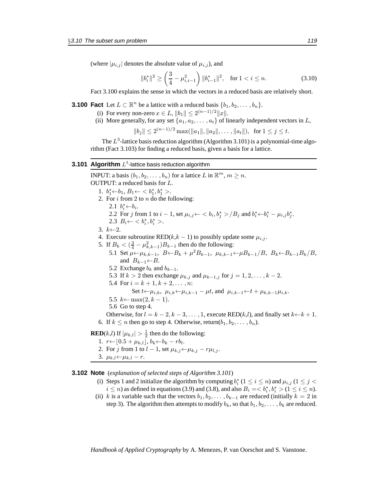(where  $|\mu_{i,j}|$  denotes the absolute value of  $\mu_{i,j}$ ), and

$$
||b_i^*||^2 \ge \left(\frac{3}{4} - \mu_{i,i-1}^2\right) ||b_{i-1}^*||^2, \quad \text{for } 1 < i \le n.
$$
 (3.10)

Fact 3.100 explains the sense in which the vectors in a reduced basis are relatively short.

**3.100 Fact** Let  $L \subset \mathbb{R}^n$  be a lattice with a reduced basis  $\{b_1, b_2, \ldots, b_n\}$ .

- (i) For every non-zero  $x \in L$ ,  $||b_1|| \leq 2^{(n-1)/2}||x||$ .
- (ii) More generally, for any set  $\{a_1, a_2, \ldots, a_t\}$  of linearly independent vectors in L,

 $||b_j|| \leq 2^{(n-1)/2} \max(||a_1||, ||a_2||, \ldots, ||a_t||),$  for  $1 \leq j \leq t$ .

The  $L^3$ -lattice basis reduction algorithm (Algorithm 3.101) is a polynomial-time algorithm (Fact 3.103) for finding a reduced basis, given a basis for a lattice.

#### **3.101 Algorithm**  $L^3$ -lattice basis reduction algorithm

INPUT: a basis  $(b_1, b_2, \ldots, b_n)$  for a lattice L in  $\mathbb{R}^m$ ,  $m \geq n$ . OUTPUT: a reduced basis for L. 1.  $b_1^* \leftarrow b_1, B_1 \leftarrow \langle b_1^*, b_1^* \rangle$ . 2. For  $i$  from 2 to  $n$  do the following: 2.1  $b_i^* \leftarrow b_i$ . 2.2 For j from 1 to  $i - 1$ , set  $\mu_{i,j} \leftarrow \langle b_i, b_j^* \rangle / B_j$  and  $b_i^* \leftarrow b_i^* - \mu_{i,j} b_j^*$ . 2.3  $B_i \leftarrow \langle b_i^*, b_i^* \rangle$ . 3.  $k\leftarrow 2$ . 4. Execute subroutine RED( $k, k - 1$ ) to possibly update some  $\mu_{i,j}$ . 5. If  $B_k < (\frac{3}{4} - \mu_{k,k-1}^2)B_{k-1}$  then do the following: 5.1 Set  $\mu \leftarrow \mu_{k,k-1}$ ,  $B \leftarrow B_k + \mu^2 B_{k-1}$ ,  $\mu_{k,k-1} \leftarrow \mu B_{k-1}/B$ ,  $B_k \leftarrow B_{k-1}B_k/B$ , and  $B_{k-1} \leftarrow B$ . 5.2 Exchange  $b_k$  and  $b_{k-1}$ . 5.3 If  $k > 2$  then exchange  $\mu_{k,j}$  and  $\mu_{k-1,j}$  for  $j = 1, 2, ..., k-2$ . 5.4 For  $i = k + 1, k + 2, \ldots, n$ : Set  $t \leftarrow \mu_{i,k}, \ \mu_{i,k} \leftarrow \mu_{i,k-1} - \mu t$ , and  $\mu_{i,k-1} \leftarrow t + \mu_{k,k-1} \mu_{i,k}$ . 5.5  $k \leftarrow max(2, k - 1)$ . 5.6 Go to step 4. Otherwise, for  $l = k - 2, k - 3, \ldots, 1$ , execute RED(k,l), and finally set  $k \leftarrow k + 1$ . 6. If  $k \leq n$  then go to step 4. Otherwise, return $(b_1, b_2, \ldots, b_n)$ . **RED**(*k*,*l*) If  $|\mu_{k,l}| > \frac{1}{2}$  then do the following: 1.  $r \leftarrow [0.5 + \mu_{k,l}], b_k \leftarrow b_k - rb_l.$ 

- 2. For j from 1 to  $l-1$ , set  $\mu_{k,j} \leftarrow \mu_{k,j} r \mu_{l,j}$ .
- 3.  $\mu_{k,l}$ ← $\mu_{k,l}$  r.

**3.102 Note** (*explanation of selected steps of Algorithm 3.101*)

- (i) Steps 1 and 2 initialize the algorithm by computing  $b_i^*$  ( $1 \le i \le n$ ) and  $\mu_{i,j}$  ( $1 \le j < n$ )  $i \leq n$ ) as defined in equations (3.9) and (3.8), and also  $B_i = \langle b_i^*, b_i^* \rangle (1 \leq i \leq n)$ .
- (ii) k is a variable such that the vectors  $b_1, b_2, \ldots, b_{k-1}$  are reduced (initially  $k = 2$  in step 3). The algorithm then attempts to modify  $b_k$ , so that  $b_1, b_2, \ldots, b_k$  are reduced.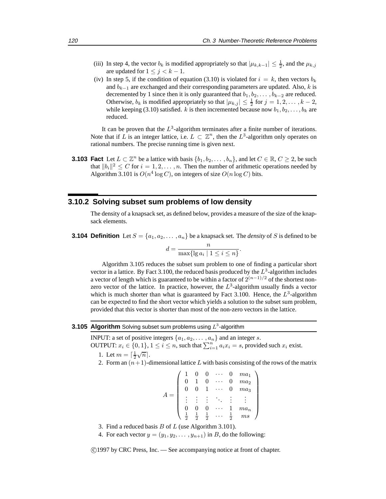- (iii) In step 4, the vector  $b_k$  is modified appropriately so that  $|\mu_{k,k-1}| \leq \frac{1}{2}$ , and the  $\mu_{k,j}$ are updated for  $1 \leq j \leq k - 1$ .
- (iv) In step 5, if the condition of equation (3.10) is violated for  $i = k$ , then vectors  $b_k$ and  $b_{k-1}$  are exchanged and their corresponding parameters are updated. Also, k is decremented by 1 since then it is only guaranteed that  $b_1, b_2, \ldots, b_{k-2}$  are reduced. Otherwise,  $b_k$  is modified appropriately so that  $|\mu_{k,j}| \leq \frac{1}{2}$  for  $j = 1, 2, ..., k - 2$ , while keeping (3.10) satisfied. k is then incremented because now  $b_1, b_2, \ldots, b_k$  are reduced.

It can be proven that the  $L^3$ -algorithm terminates after a finite number of iterations. Note that if L is an integer lattice, i.e.  $L \subset \mathbb{Z}^n$ , then the  $L^3$ -algorithm only operates on rational numbers. The precise running time is given next.

**3.103 Fact** Let  $L \subset \mathbb{Z}^n$  be a lattice with basis  $\{b_1, b_2, \ldots, b_n\}$ , and let  $C \in \mathbb{R}, C \geq 2$ , be such that  $||b_i||^2 \leq C$  for  $i = 1, 2, \ldots, n$ . Then the number of arithmetic operations needed by Algorithm 3.101 is  $O(n^4 \log C)$ , on integers of size  $O(n \log C)$  bits.

### **3.10.2 Solving subset sum problems of low density**

The density of a knapsack set, as defined below, provides a measure of the size of the knapsack elements.

**3.104 Definition** Let  $S = \{a_1, a_2, \ldots, a_n\}$  be a knapsack set. The *density* of S is defined to be

$$
d = \frac{n}{\max\{\lg a_i \mid 1 \le i \le n\}}.
$$

Algorithm 3.105 reduces the subset sum problem to one of finding a particular short vector in a lattice. By Fact 3.100, the reduced basis produced by the  $L^3$ -algorithm includes a vector of length which is guaranteed to be within a factor of  $2^{(n-1)/2}$  of the shortest nonzero vector of the lattice. In practice, however, the  $L^3$ -algorithm usually finds a vector which is much shorter than what is guaranteed by Fact 3.100. Hence, the  $L^3$ -algorithm can be expected to find the short vector which yields a solution to the subset sum problem, provided that this vector is shorter than most of the non-zero vectors in the lattice.

### **3.105 Algorithm** Solving subset sum problems using  $L^3$ -algorithm

INPUT: a set of positive integers  $\{a_1, a_2, \ldots, a_n\}$  and an integer s.

OUTPUT:  $x_i \in \{0,1\}$ ,  $1 \le i \le n$ , such that  $\sum_{i=1}^n a_i x_i = s$ , provided such  $x_i$  exist.

- 1. Let  $m = \lceil \frac{1}{2} \sqrt{n} \rceil$ .
- 2. Form an  $(n+1)$ -dimensional lattice L with basis consisting of the rows of the matrix

$$
A = \left( \begin{array}{cccccc} 1 & 0 & 0 & \cdots & 0 & ma_1 \\ 0 & 1 & 0 & \cdots & 0 & ma_2 \\ 0 & 0 & 1 & \cdots & 0 & ma_3 \\ \vdots & \vdots & \vdots & \ddots & \vdots & \vdots \\ 0 & 0 & 0 & \cdots & 1 & ma_n \\ \frac{1}{2} & \frac{1}{2} & \frac{1}{2} & \cdots & \frac{1}{2} & ms \end{array} \right)
$$

- 3. Find a reduced basis  $B$  of  $L$  (use Algorithm 3.101).
- 4. For each vector  $y = (y_1, y_2, \dots, y_{n+1})$  in B, do the following: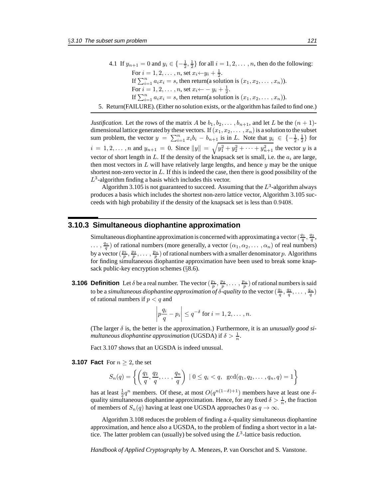4.1 If  $y_{n+1} = 0$  and  $y_i \in \{-\frac{1}{2}, \frac{1}{2}\}\$  for all  $i = 1, 2, ..., n$ , then do the following: For  $i = 1, 2, \ldots, n$ , set  $x_i \leftarrow y_i + \frac{1}{2}$ . If  $\sum_{i=1}^{n} a_i x_i = s$ , then return(a solution is  $(x_1, x_2, \dots, x_n)$ ). For  $i = 1, 2, \ldots, n$ , set  $x_i \leftarrow -y_i + \frac{1}{2}$ . If  $\sum_{i=1}^{n} a_i x_i = s$ , then return(a solution is  $(x_1, x_2, \dots, x_n)$ ). 5. Return(FAILURE). (Either no solution exists, or the algorithm has failed to find one.)

*Justification.* Let the rows of the matrix A be  $b_1, b_2, \ldots, b_{n+1}$ , and let L be the  $(n + 1)$ dimensional lattice generated by these vectors. If  $(x_1, x_2, \ldots, x_n)$  is a solution to the subset sum problem, the vector  $y = \sum_{i=1}^{n} x_i b_i - b_{n+1}$  is in L. Note that  $y_i \in \{-\frac{1}{2}, \frac{1}{2}\}\$ for  $i = 1, 2, \dots, n$  and  $y_{n+1} = 0$ . Since  $||y|| = \sqrt{y_1^2 + y_2^2 + \dots + y_{n+1}^2}$  the vector y is a vector of short length in  $L$ . If the density of the knapsack set is small, i.e. the  $a_i$  are large, then most vectors in  $L$  will have relatively large lengths, and hence  $y$  may be the unique shortest non-zero vector in  $L$ . If this is indeed the case, then there is good possibility of the  $L^3$ -algorithm finding a basis which includes this vector.

Algorithm 3.105 is not guaranteed to succeed. Assuming that the  $L^3$ -algorithm always produces a basis which includes the shortest non-zero lattice vector, Algorithm 3.105 succeeds with high probability if the density of the knapsack set is less than 0.9408.

### **3.10.3 Simultaneous diophantine approximation**

Simultaneous diophantine approximation is concerned with approximating a vector  $(\frac{q_1}{q}, \frac{q_2}{q})$  $\ldots$ ,  $\frac{q_n}{q}$ ) of rational numbers (more generally, a vector  $(\alpha_1, \alpha_2, \ldots, \alpha_n)$  of real numbers) by a vector  $(\frac{p_1}{p}, \frac{p_2}{p}, \ldots, \frac{p_n}{p})$  of rational numbers with a smaller denominator p. Algorithms for finding simultaneous diophantine approximation have been used to break some knapsack public-key encryption schemes (§8.6).

**3.106 Definition** Let  $\delta$  be a real number. The vector  $(\frac{p_1}{p}, \frac{p_2}{p}, \dots, \frac{p_n}{p})$  of rational numbers is said to be a *simultaneous diophantine approximation* of  $\delta$ -quality to the vector  $(\frac{q_1}{q}, \frac{q_2}{q}, \ldots, \frac{q_n}{q})$ of rational numbers if  $p < q$  and

$$
\left| p \frac{q_i}{q} - p_i \right| \leq q^{-\delta} \text{ for } i = 1, 2, \dots, n.
$$

(The larger  $\delta$  is, the better is the approximation.) Furthermore, it is an *unusually good simultaneous diophantine approximation* (UGSDA) if  $\delta > \frac{1}{n}$ .

Fact 3.107 shows that an UGSDA is indeed unusual.

**3.107 Fact** For  $n > 2$ , the set

$$
S_n(q) = \left\{ \left( \frac{q_1}{q}, \frac{q_2}{q}, \dots, \frac{q_n}{q} \right) \mid 0 \le q_i < q, \ \gcd(q_1, q_2, \dots, q_n, q) = 1 \right\}
$$

has at least  $\frac{1}{2}q^n$  members. Of these, at most  $O(q^{n(1-\delta)+1})$  members have at least one  $\delta$ quality simultaneous diophantine approximation. Hence, for any fixed  $\delta > \frac{1}{n}$ , the fraction of members of  $S_n(q)$  having at least one UGSDA approaches 0 as  $q \to \infty$ .

Algorithm 3.108 reduces the problem of finding a  $\delta$ -quality simultaneous diophantine approximation, and hence also a UGSDA, to the problem of finding a short vector in a lattice. The latter problem can (usually) be solved using the  $L^3$ -lattice basis reduction.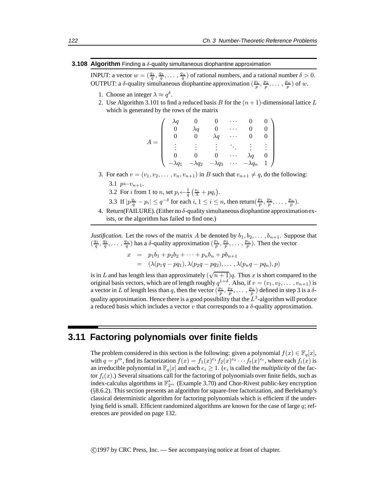#### **3.108 Algorithm** Finding a δ-quality simultaneous diophantine approximation

INPUT: a vector  $w = (\frac{q_1}{q}, \frac{q_2}{q}, \dots, \frac{q_n}{q})$  of rational numbers, and a rational number  $\delta > 0$ . OUTPUT: a  $\delta$ -quality simultaneous diophantine approximation  $(\frac{p_1}{p}, \frac{p_2}{p}, \ldots, \frac{p_n}{p})$  of w.

- 1. Choose an integer  $\lambda \approx q^{\delta}$ .
- 2. Use Algorithm 3.101 to find a reduced basis B for the  $(n + 1)$ -dimensional lattice L which is generated by the rows of the matrix

|  |               |                | $\cdot$              |                                           |  |
|--|---------------|----------------|----------------------|-------------------------------------------|--|
|  |               |                |                      |                                           |  |
|  |               | $\lambda q$    |                      |                                           |  |
|  |               |                |                      |                                           |  |
|  |               |                | $\ddot{\phantom{0}}$ |                                           |  |
|  | $\lambda q_2$ | $-\lambda q_3$ | .                    | $\lambda q_n$<br>$\overline{\phantom{m}}$ |  |

3. For each  $v = (v_1, v_2, \ldots, v_n, v_{n+1})$  in B such that  $v_{n+1} \neq q$ , do the following:

3.1  $p \leftarrow v_{n+1}$ .

3.2 For *i* from 1 to *n*, set  $p_i \leftarrow \frac{1}{q} \left( \frac{v_i}{\lambda} + pq_i \right)$ .

- 3.3 If  $|p\frac{q_i}{q} p_i| \le q^{-\delta}$  for each  $i, 1 \le i \le n$ , then return $(\frac{p_1}{p}, \frac{p_2}{p}, \dots, \frac{p_n}{p})$ .
- 4. Return(FAILURE). (Either no  $\delta$ -quality simultaneous diophantine approximation exists, or the algorithm has failed to find one.)

*Justification.* Let the rows of the matrix A be denoted by  $b_1, b_2, \ldots, b_{n+1}$ . Suppose that  $(\frac{q_1}{q}, \frac{q_2}{q}, \ldots, \frac{q_n}{q})$  has a  $\delta$ -quality approximation  $(\frac{p_1}{p}, \frac{p_2}{p}, \ldots, \frac{p_n}{p})$ . Then the vector

$$
x = p_1b_1 + p_2b_2 + \cdots + p_nb_n + pb_{n+1}
$$
  
=  $(\lambda(p_1q - pq_1), \lambda(p_2q - pq_2), \ldots, \lambda(p_nq - pq_n), p)$ 

is in L and has length less than approximately  $(\sqrt{n+1})q$ . Thus x is short compared to the original basis vectors, which are of length roughly  $q^{1+\delta}$ . Also, if  $v = (v_1, v_2, \dots, v_{n+1})$  is a vector in L of length less than q, then the vector  $(\frac{p_1}{p}, \frac{p_2}{p}, \ldots, \frac{p_n}{p})$  defined in step 3 is a  $\delta$ quality approximation. Hence there is a good possibility that the  $L^3$ -algorithm will produce a reduced basis which includes a vector  $v$  that corresponds to a  $\delta$ -quality approximation.

### **3.11 Factoring polynomials over finite fields**

The problem considered in this section is the following: given a polynomial  $f(x) \in \mathbb{F}_q[x]$ , with  $q = p^m$ , find its factorization  $f(x) = f_1(x)^{e_1} f_2(x)^{e_2} \cdots f_t(x)^{e_t}$ , where each  $f_i(x)$  is an irreducible polynomial in  $\mathbb{F}_q[x]$  and each  $e_i \geq 1$ . ( $e_i$  is called the *multiplicity* of the factor  $f_i(x)$ .) Several situations call for the factoring of polynomials over finite fields, such as index-calculus algorithms in  $\mathbb{F}_{2^m}^*$  (Example 3.70) and Chor-Rivest public-key encryption (§8.6.2). This section presents an algorithm for square-free factorization, and Berlekamp's classical deterministic algorithm for factoring polynomials which is efficient if the underlying field is small. Efficient randomized algorithms are known for the case of large  $q$ ; references are provided on page 132.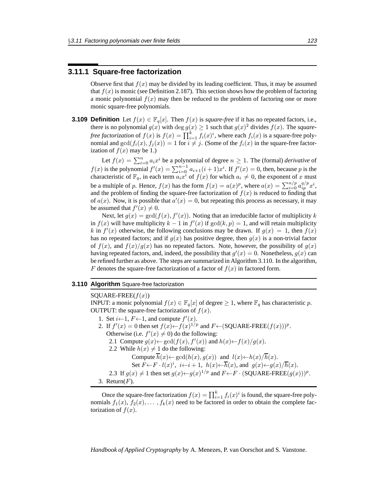### **3.11.1 Square-free factorization**

Observe first that  $f(x)$  may be divided by its leading coefficient. Thus, it may be assumed that  $f(x)$  is monic (see Definition 2.187). This section shows how the problem of factoring a monic polynomial  $f(x)$  may then be reduced to the problem of factoring one or more monic square-free polynomials.

**3.109 Definition** Let  $f(x) \in \mathbb{F}_q[x]$ . Then  $f(x)$  is *square-free* if it has no repeated factors, i.e., there is no polynomial  $g(x)$  with deg  $g(x) \ge 1$  such that  $g(x)^2$  divides  $f(x)$ . The *squarefree factorization* of  $f(x)$  is  $f(x) = \prod_{i=1}^{k} f_i(x)^i$ , where each  $f_i(x)$  is a square-free polynomial and  $gcd(f_i(x), f_j(x)) = 1$  for  $i \neq j$ . (Some of the  $f_i(x)$  in the square-free factorization of  $f(x)$  may be 1.)

Let  $f(x) = \sum_{i=0}^{n} a_i x^i$  be a polynomial of degree  $n \ge 1$ . The (formal) *derivative* of  $f(x)$  is the polynomial  $f'(x) = \sum_{i=0}^{n-1} a_{i+1}(i+1)x^i$ . If  $f'(x) = 0$ , then, because p is the characteristic of  $\mathbb{F}_q$ , in each term  $a_i x^i$  of  $f(x)$  for which  $a_i \neq 0$ , the exponent of x must be a multiple of p. Hence,  $f(x)$  has the form  $f(x) = a(x)^p$ , where  $a(x) = \sum_{i=0}^{n/p} a_{ip}^{q/p} x^i$ , and the problem of finding the square-free factorization of  $f(x)$  is reduced to finding that of  $a(x)$ . Now, it is possible that  $a'(x) = 0$ , but repeating this process as necessary, it may be assumed that  $f'(x) \neq 0$ .

Next, let  $g(x) = \gcd(f(x), f'(x))$ . Noting that an irreducible factor of multiplicity k in  $f(x)$  will have multiplicity  $k-1$  in  $f'(x)$  if  $gcd(k, p) = 1$ , and will retain multiplicity k in  $f'(x)$  otherwise, the following conclusions may be drawn. If  $g(x)=1$ , then  $f(x)$ has no repeated factors; and if  $g(x)$  has positive degree, then  $g(x)$  is a non-trivial factor of  $f(x)$ , and  $f(x)/g(x)$  has no repeated factors. Note, however, the possibility of  $g(x)$ having repeated factors, and, indeed, the possibility that  $g'(x) = 0$ . Nonetheless,  $g(x)$  can be refined further as above. The steps are summarized in Algorithm 3.110. In the algorithm, F denotes the square-free factorization of a factor of  $f(x)$  in factored form.

### **3.110 Algorithm** Square-free factorization

 $SQUARE\text{-}FREE(f(x))$ INPUT: a monic polynomial  $f(x) \in \mathbb{F}_q[x]$  of degree  $\geq 1$ , where  $\mathbb{F}_q$  has characteristic p. OUTPUT: the square-free factorization of  $f(x)$ . 1. Set  $i \leftarrow 1$ ,  $F \leftarrow 1$ , and compute  $f'(x)$ . 2. If  $f'(x) = 0$  then set  $f(x) \leftarrow f(x)^{1/p}$  and  $F \leftarrow (SQUARE\text{-}FREE(f(x)))^p$ . Otherwise (i.e.  $f'(x) \neq 0$ ) do the following: 2.1 Compute  $g(x) \leftarrow \gcd(f(x), f'(x))$  and  $h(x) \leftarrow f(x)/g(x)$ . 2.2 While  $h(x) \neq 1$  do the following: Compute  $\overline{h}(x) \leftarrow \gcd(h(x), g(x))$  and  $l(x) \leftarrow h(x)/\overline{h}(x)$ . Set  $F \leftarrow F \cdot l(x)^i$ ,  $i \leftarrow i + 1$ ,  $h(x) \leftarrow \overline{h}(x)$ , and  $g(x) \leftarrow g(x) / \overline{h}(x)$ . 2.3 If  $g(x) \neq 1$  then set  $g(x) \leftarrow g(x)^{1/p}$  and  $F \leftarrow F \cdot (SQUARE\text{-}FREE(g(x)))^p$ . 3. Return $(F)$ .

Once the square-free factorization  $f(x) = \prod_{i=1}^{k} f_i(x)^i$  is found, the square-free polynomials  $f_1(x)$ ,  $f_2(x)$ ,...,  $f_k(x)$  need to be factored in order to obtain the complete factorization of  $f(x)$ .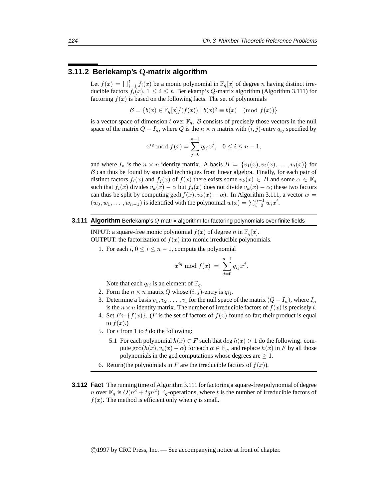### **3.11.2 Berlekamp's** Q**-matrix algorithm**

Let  $f(x) = \prod_{i=1}^{t} f_i(x)$  be a monic polynomial in  $\mathbb{F}_q[x]$  of degree *n* having distinct irreducible factors  $f_i(x)$ ,  $1 \leq i \leq t$ . Berlekamp's Q-matrix algorithm (Algorithm 3.111) for factoring  $f(x)$  is based on the following facts. The set of polynomials

 $\mathcal{B} = \{b(x) \in \mathbb{F}_q[x]/(f(x)) \mid b(x)^q \equiv b(x) \pmod{f(x)}\}$ 

is a vector space of dimension t over  $\mathbb{F}_q$ . B consists of precisely those vectors in the null space of the matrix  $Q - I_n$ , where Q is the  $n \times n$  matrix with  $(i, j)$ -entry  $q_{ij}$  specified by

$$
x^{iq} \bmod f(x) = \sum_{j=0}^{n-1} q_{ij} x^j, \quad 0 \le i \le n-1,
$$

and where  $I_n$  is the  $n \times n$  identity matrix. A basis  $B = \{v_1(x), v_2(x), \dots, v_t(x)\}\$ for  $B$  can thus be found by standard techniques from linear algebra. Finally, for each pair of distinct factors  $f_i(x)$  and  $f_j(x)$  of  $f(x)$  there exists some  $v_k(x) \in B$  and some  $\alpha \in \mathbb{F}_q$ such that  $f_i(x)$  divides  $v_k(x) - \alpha$  but  $f_i(x)$  does not divide  $v_k(x) - \alpha$ ; these two factors can thus be split by computing  $gcd(f(x), v_k(x) - \alpha)$ . In Algorithm 3.111, a vector  $w =$  $(w_0, w_1, \dots, w_{n-1})$  is identified with the polynomial  $w(x) = \sum_{i=0}^{n-1} w_i x^i$ .

#### **3.111 Algorithm** Berlekamp's Q-matrix algorithm for factoring polynomials over finite fields

INPUT: a square-free monic polynomial  $f(x)$  of degree n in  $\mathbb{F}_q[x]$ . OUTPUT: the factorization of  $f(x)$  into monic irreducible polynomials.

1. For each i,  $0 \le i \le n-1$ , compute the polynomial

$$
x^{iq} \bmod f(x) = \sum_{j=0}^{n-1} q_{ij} x^j.
$$

Note that each  $q_{ij}$  is an element of  $\mathbb{F}_q$ .

- 2. Form the  $n \times n$  matrix Q whose  $(i, j)$ -entry is  $q_{ij}$ .
- 3. Determine a basis  $v_1, v_2, \ldots, v_t$  for the null space of the matrix  $(Q I_n)$ , where  $I_n$ is the  $n \times n$  identity matrix. The number of irreducible factors of  $f(x)$  is precisely t.
- 4. Set  $F \leftarrow \{f(x)\}\)$ . (*F* is the set of factors of  $f(x)$  found so far; their product is equal to  $f(x)$ .)
- 5. For  $i$  from 1 to  $t$  do the following:
	- 5.1 For each polynomial  $h(x) \in F$  such that  $\deg h(x) > 1$  do the following: compute  $gcd(h(x), v_i(x) - \alpha)$  for each  $\alpha \in \mathbb{F}_q$ , and replace  $h(x)$  in F by all those polynomials in the gcd computations whose degrees are  $\geq 1$ .
- 6. Return(the polynomials in F are the irreducible factors of  $f(x)$ ).
- **3.112 Fact** The running time of Algorithm 3.111 for factoring a square-free polynomial of degree *n* over  $\mathbb{F}_q$  is  $O(n^3 + tqn^2)$   $\mathbb{F}_q$ -operations, where t is the number of irreducible factors of  $f(x)$ . The method is efficient only when q is small.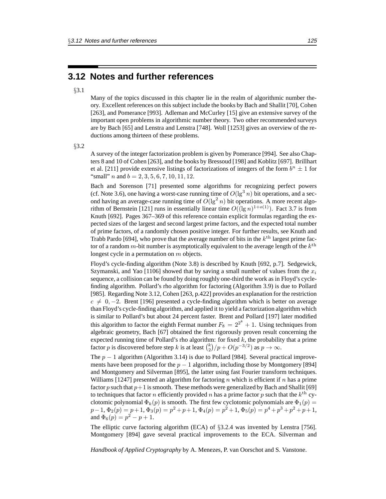### **3.12 Notes and further references**

### §3.1

Many of the topics discussed in this chapter lie in the realm of algorithmic number theory. Excellent references on this subject include the books by Bach and Shallit [70], Cohen [263], and Pomerance [993]. Adleman and McCurley [15] give an extensive survey of the important open problems in algorithmic number theory. Two other recommended surveys are by Bach [65] and Lenstra and Lenstra [748]. Woll [1253] gives an overview of the reductions among thirteen of these problems.

### §3.2

A survey of the integer factorization problem is given by Pomerance [994]. See also Chapters 8 and 10 of Cohen [263], and the books by Bressoud [198] and Koblitz [697]. Brillhart et al. [211] provide extensive listings of factorizations of integers of the form  $b^n \pm 1$  for "small" *n* and  $b = 2, 3, 5, 6, 7, 10, 11, 12$ .

Bach and Sorenson [71] presented some algorithms for recognizing perfect powers (cf. Note 3.6), one having a worst-case running time of  $O(\lg^3 n)$  bit operations, and a second having an average-case running time of  $O(\lg^2 n)$  bit operations. A more recent algorithm of Bernstein [121] runs in essentially linear time  $O((\lg n)^{1+o(1)})$ . Fact 3.7 is from Knuth [692]. Pages 367–369 of this reference contain explicit formulas regarding the expected sizes of the largest and second largest prime factors, and the expected total number of prime factors, of a randomly chosen positive integer. For further results, see Knuth and Trabb Pardo [694], who prove that the average number of bits in the  $k<sup>th</sup>$  largest prime factor of a random m-bit number is asymptotically equivalent to the average length of the  $k^{\text{th}}$ longest cycle in a permutation on m objects.

Floyd's cycle-finding algorithm (Note 3.8) is described by Knuth [692, p.7]. Sedgewick, Szymanski, and Yao [1106] showed that by saving a small number of values from the  $x_i$ sequence, a collision can be found by doing roughly one-third the work as in Floyd's cyclefinding algorithm. Pollard's rho algorithm for factoring (Algorithm 3.9) is due to Pollard [985]. Regarding Note 3.12, Cohen [263, p.422] provides an explanation for the restriction  $c \neq 0, -2$ . Brent [196] presented a cycle-finding algorithm which is better on average than Floyd's cycle-finding algorithm, and applied it to yield a factorization algorithm which is similar to Pollard's but about 24 percent faster. Brent and Pollard [197] later modified this algorithm to factor the eighth Fermat number  $F_8 = 2^{2^8} + 1$ . Using techniques from algebraic geometry, Bach [67] obtained the first rigorously proven result concerning the expected running time of Pollard's rho algorithm: for fixed  $k$ , the probability that a prime factor p is discovered before step k is at least  ${k \choose 2}/p + O(p^{-3/2})$  as  $p \to \infty$ .

The  $p - 1$  algorithm (Algorithm 3.14) is due to Pollard [984]. Several practical improvements have been proposed for the  $p - 1$  algorithm, including those by Montgomery [894] and Montgomery and Silverman [895], the latter using fast Fourier transform techniques. Williams [1247] presented an algorithm for factoring n which is efficient if n has a prime factor p such that  $p+1$  is smooth. These methods were generalized by Bach and Shallit [69] to techniques that factor n efficiently provided n has a prime factor p such that the  $k<sup>th</sup>$  cyclotomic polynomial  $\Phi_k(p)$  is smooth. The first few cyclotomic polynomials are  $\Phi_1(p)$  =  $p-1$ ,  $\Phi_2(p) = p+1$ ,  $\Phi_3(p) = p^2+p+1$ ,  $\Phi_4(p) = p^2+1$ ,  $\Phi_5(p) = p^4+p^3+p^2+p+1$ , and  $\Phi_6(p) = p^2 - p + 1$ .

The elliptic curve factoring algorithm (ECA) of §3.2.4 was invented by Lenstra [756]. Montgomery [894] gave several practical improvements to the ECA. Silverman and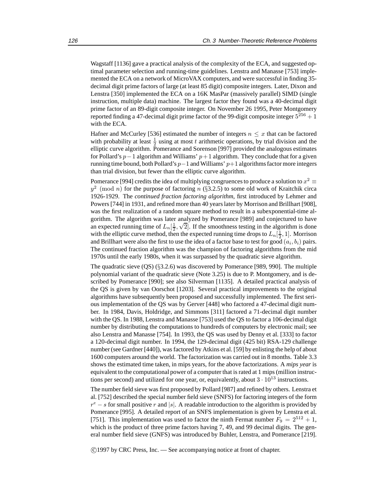Wagstaff [1136] gave a practical analysis of the complexity of the ECA, and suggested optimal parameter selection and running-time guidelines. Lenstra and Manasse [753] implemented the ECA on a network of MicroVAX computers, and were successful in finding 35 decimal digit prime factors of large (at least 85 digit) composite integers. Later, Dixon and Lenstra [350] implemented the ECA on a 16K MasPar (massively parallel) SIMD (single instruction, multiple data) machine. The largest factor they found was a 40-decimal digit prime factor of an 89-digit composite integer. On November 26 1995, Peter Montgomery reported finding a 47-decimal digit prime factor of the 99-digit composite integer  $5^{256} + 1$ with the ECA.

Hafner and McCurley [536] estimated the number of integers  $n \leq x$  that can be factored with probability at least  $\frac{1}{2}$  using at most t arithmetic operations, by trial division and the elliptic curve algorithm. Pomerance and Sorenson [997] provided the analogous estimates for Pollard's  $p-1$  algorithm and Williams'  $p+1$  algorithm. They conclude that for a given running time bound, both Pollard's  $p-1$  and Williams'  $p+1$  algorithms factor more integers than trial division, but fewer than the elliptic curve algorithm.

Pomerance [994] credits the idea of multiplying congruences to produce a solution to  $x^2 \equiv$  $y^2 \pmod{n}$  for the purpose of factoring n (§3.2.5) to some old work of Kraitchik circa 1926-1929. The *continued fraction factoring algorithm*, first introduced by Lehmer and Powers [744] in 1931, and refined more than 40 years later by Morrison and Brillhart [908], was the first realization of a random square method to result in a subexponential-time algorithm. The algorithm was later analyzed by Pomerance [989] and conjectured to have gorium. The algorithm was later analyzed by Pomerance [989] and conjectured to have an expected running time of  $L_n[\frac{1}{2}, \sqrt{2}]$ . If the smoothness testing in the algorithm is done with the elliptic curve method, then the expected running time drops to  $L_n[\frac{1}{2}, 1]$ . Morrison and Brillhart were also the first to use the idea of a factor base to test for good  $(a_i, b_i)$  pairs. The continued fraction algorithm was the champion of factoring algorithms from the mid 1970s until the early 1980s, when it was surpassed by the quadratic sieve algorithm.

The quadratic sieve (QS) (§3.2.6) was discovered by Pomerance [989, 990]. The multiple polynomial variant of the quadratic sieve (Note 3.25) is due to P. Montgomery, and is described by Pomerance [990]; see also Silverman [1135]. A detailed practical analysis of the QS is given by van Oorschot [1203]. Several practical improvements to the original algorithms have subsequently been proposed and successfully implemented. The first serious implementation of the QS was by Gerver [448] who factored a 47-decimal digit number. In 1984, Davis, Holdridge, and Simmons [311] factored a 71-decimal digit number with the QS. In 1988, Lenstra and Manasse [753] used the QS to factor a 106-decimal digit number by distributing the computations to hundreds of computers by electronic mail; see also Lenstra and Manasse [754]. In 1993, the QS was used by Denny et al. [333] to factor a 120-decimal digit number. In 1994, the 129-decimal digit (425 bit) RSA-129 challenge number (see Gardner [440]), was factored by Atkins et al. [59] by enlisting the help of about 1600 computers around the world. The factorization was carried out in 8 months. Table 3.3 shows the estimated time taken, in mips years, for the above factorizations. A *mips year* is equivalent to the computational power of a computer that is rated at 1 mips (million instructions per second) and utilized for one year, or, equivalently, about  $3 \cdot 10^{13}$  instructions.

The number field sieve was first proposed by Pollard [987] and refined by others. Lenstra et al. [752] described the special number field sieve (SNFS) for factoring integers of the form  $r^e - s$  for small positive r and |s|. A readable introduction to the algorithm is provided by Pomerance [995]. A detailed report of an SNFS implementation is given by Lenstra et al. [751]. This implementation was used to factor the ninth Fermat number  $F_9 = 2^{512} + 1$ , which is the product of three prime factors having 7, 49, and 99 decimal digits. The general number field sieve (GNFS) was introduced by Buhler, Lenstra, and Pomerance [219].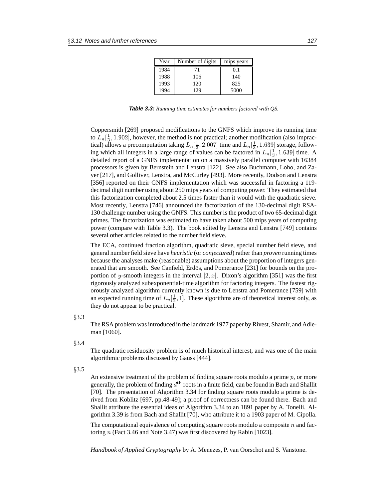| Year | Number of digits | mips years |
|------|------------------|------------|
| 1984 | 71               | 0.1        |
| 1988 | 106              | 140        |
| 1993 | 120              | 825        |
| 1994 | 129              | 5000       |

**Table 3.3:** *Running time estimates for numbers factored with QS.*

Coppersmith [269] proposed modifications to the GNFS which improve its running time to  $L_n[\frac{1}{3}, 1.902]$ , however, the method is not practical; another modification (also impractical) allows a precomputation taking  $L_n[\frac{1}{3}, 2.007]$  time and  $L_n[\frac{1}{3}, 1.639]$  storage, following which all integers in a large range of values can be factored in  $L_n[\frac{1}{3}, 1.639]$  time. A detailed report of a GNFS implementation on a massively parallel computer with 16384 processors is given by Bernstein and Lenstra [122]. See also Buchmann, Loho, and Zayer [217], and Golliver, Lenstra, and McCurley [493]. More recently, Dodson and Lenstra [356] reported on their GNFS implementation which was successful in factoring a 119decimal digit number using about 250 mips years of computing power. They estimated that this factorization completed about 2.5 times faster than it would with the quadratic sieve. Most recently, Lenstra [746] announced the factorization of the 130-decimal digit RSA-130 challenge number using the GNFS. This number is the product of two 65-decimal digit primes. The factorization was estimated to have taken about 500 mips years of computing power (compare with Table 3.3). The book edited by Lenstra and Lenstra [749] contains several other articles related to the number field sieve.

The ECA, continued fraction algorithm, quadratic sieve, special number field sieve, and general number field sieve have *heuristic* (or *conjectured*) rather than *proven* running times because the analyses make (reasonable) assumptions about the proportion of integers generated that are smooth. See Canfield, Erdös, and Pomerance  $[231]$  for bounds on the proportion of y-smooth integers in the interval  $[2, x]$ . Dixon's algorithm [351] was the first rigorously analyzed subexponential-time algorithm for factoring integers. The fastest rigorously analyzed algorithm currently known is due to Lenstra and Pomerance [759] with an expected running time of  $L_n[\frac{1}{2}, 1]$ . These algorithms are of theoretical interest only, as they do not appear to be practical.

#### §3.3

The RSA problem was introduced in the landmark 1977 paper by Rivest, Shamir, and Adleman [1060].

§3.4

The quadratic residuosity problem is of much historical interest, and was one of the main algorithmic problems discussed by Gauss [444].

#### §3.5

An extensive treatment of the problem of finding square roots modulo a prime p, or more generally, the problem of finding  $d<sup>th</sup>$  roots in a finite field, can be found in Bach and Shallit [70]. The presentation of Algorithm 3.34 for finding square roots modulo a prime is derived from Koblitz [697, pp.48-49]; a proof of correctness can be found there. Bach and Shallit attribute the essential ideas of Algorithm 3.34 to an 1891 paper by A. Tonelli. Algorithm 3.39 is from Bach and Shallit [70], who attribute it to a 1903 paper of M. Cipolla.

The computational equivalence of computing square roots modulo a composite  $n$  and factoring n (Fact 3.46 and Note 3.47) was first discovered by Rabin [1023].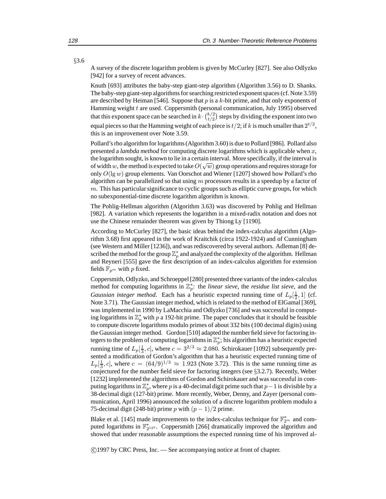A survey of the discrete logarithm problem is given by McCurley [827]. See also Odlyzko [942] for a survey of recent advances.

Knuth [693] attributes the baby-step giant-step algorithm (Algorithm 3.56) to D. Shanks. The baby-step giant-step algorithms for searching restricted exponent spaces (cf. Note 3.59) are described by Heiman [546]. Suppose that  $p$  is a  $k$ -bit prime, and that only exponents of Hamming weight t are used. Coppersmith (personal communication, July 1995) observed that this exponent space can be searched in  $k \cdot {k/2 \choose t/2}$  steps by dividing the exponent into two equal pieces so that the Hamming weight of each piece is  $t/2$ ; if k is much smaller than  $2^{t/2}$ , this is an improvement over Note 3.59.

Pollard's rho algorithm for logarithms (Algorithm 3.60) is due to Pollard [986]. Pollard also presented a *lambda method* for computing discrete logarithms which is applicable when x, the logarithm sought, is known to lie in a certain interval. More specifically, if the interval is The logarithm sought, is known to he in a certain liner var. More specifically, if the liner varis of width w, the method is expected to take  $O(\sqrt{w})$  group operations and requires storage for only  $O(\lg w)$  group elements. Van Oorschot and Wiener [1207] showed how Pollard's rho algorithm can be parallelized so that using  $m$  processors results in a speedup by a factor of m. This has particular significance to cyclic groups such as elliptic curve groups, for which no subexponential-time discrete logarithm algorithm is known.

The Pohlig-Hellman algorithm (Algorithm 3.63) was discovered by Pohlig and Hellman [982]. A variation which represents the logarithm in a mixed-radix notation and does not use the Chinese remainder theorem was given by Thiong Ly [1190].

According to McCurley [827], the basic ideas behind the index-calculus algorithm (Algorithm 3.68) first appeared in the work of Kraitchik (circa 1922-1924) and of Cunningham (see Western and Miller [1236]), and was rediscovered by several authors. Adleman [8] described the method for the group  $\mathbb{Z}_p^*$  and analyzed the complexity of the algorithm. Hellman and Reyneri [555] gave the first description of an index-calculus algorithm for extension fields  $\mathbb{F}_{p^m}$  with p fixed.

Coppersmith, Odlyzko, and Schroeppel [280] presented three variants of the index-calculus method for computing logarithms in  $\mathbb{Z}_p^*$ : the *linear sieve*, the *residue list sieve*, and the *Gaussian integer method.* Each has a heuristic expected running time of  $L_p[\frac{1}{2}, 1]$  (cf. Note 3.71). The Gaussian integer method, which is related to the method of ElGamal [369], was implemented in 1990 by LaMacchia and Odlyzko [736] and was successful in computing logarithms in  $\mathbb{Z}_p^*$  with p a 192-bit prime. The paper concludes that it should be feasible to compute discrete logarithms modulo primes of about 332 bits (100 decimal digits) using the Gaussian integer method. Gordon [510] adapted the number field sieve for factoring integers to the problem of computing logarithms in  $\mathbb{Z}_p^*$ ; his algorithm has a heuristic expected running time of  $L_p[\frac{1}{3}, c]$ , where  $c = 3^{2/3} \approx 2.080$ . Schirokauer [1092] subsequently presented a modification of Gordon's algorithm that has a heuristic expected running time of  $L_p\left[\frac{1}{3}, c\right]$ , where  $c = (64/9)^{1/3} \approx 1.923$  (Note 3.72). This is the same running time as conjectured for the number field sieve for factoring integers (see §3.2.7). Recently, Weber [1232] implemented the algorithms of Gordon and Schirokauer and was successful in computing logarithms in  $\mathbb{Z}_p^*$ , where p is a 40-decimal digit prime such that  $p-1$  is divisible by a 38-decimal digit (127-bit) prime. More recently, Weber, Denny, and Zayer (personal communication, April 1996) announced the solution of a discrete logarithm problem modulo a 75-decimal digit (248-bit) prime p with  $(p-1)/2$  prime.

Blake et al. [145] made improvements to the index-calculus technique for  $\mathbb{F}_{2^m}^*$  and computed logarithms in  $\mathbb{F}_{2^{127}}^*$ . Coppersmith [266] dramatically improved the algorithm and showed that under reasonable assumptions the expected running time of his improved al-

c 1997 by CRC Press, Inc. — See accompanying notice at front of chapter.

§3.6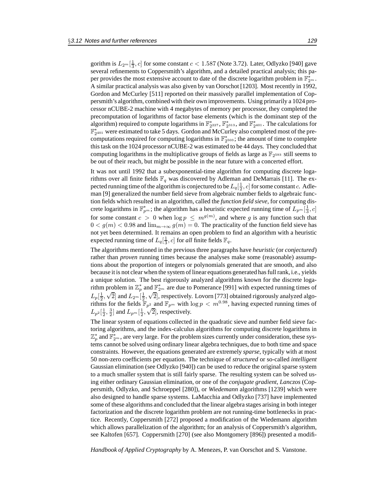gorithm is  $L_{2^m}[\frac{1}{3}, c]$  for some constant  $c < 1.587$  (Note 3.72). Later, Odlyzko [940] gave several refinements to Coppersmith's algorithm, and a detailed practical analysis; this paper provides the most extensive account to date of the discrete logarithm problem in  $\mathbb{F}_{2^m}^*$ . A similar practical analysis was also given by van Oorschot [1203]. Most recently in 1992, Gordon and McCurley [511] reported on their massively parallel implementation of Coppersmith's algorithm, combined with their own improvements. Using primarily a 1024 processor nCUBE-2 machine with 4 megabytes of memory per processor, they completed the precomputation of logarithms of factor base elements (which is the dominant step of the algorithm) required to compute logarithms in  $\mathbb{F}_{2^{227}}^*$ ,  $\mathbb{F}_{2^{313}}^*$ , and  $\mathbb{F}_{2^{401}}^*$ . The calculations for  $\mathbb{F}_{2^{401}}^{*}$  were estimated to take 5 days. Gordon and McCurley also completed most of the precomputations required for computing logarithms in  $\mathbb{F}_{2^{503}}^{*}$ ; the amount of time to complete this task on the 1024 processor nCUBE-2 was estimated to be 44 days. They concluded that computing logarithms in the multiplicative groups of fields as large as  $\mathbb{F}_{2^{593}}$  still seems to be out of their reach, but might be possible in the near future with a concerted effort.

It was not until 1992 that a subexponential-time algorithm for computing discrete logarithms over all finite fields  $\mathbb{F}_q$  was discovered by Adleman and DeMarrais [11]. The expected running time of the algorithm is conjectured to be  $L_q[\frac{1}{2}, c]$  for some constant c. Adleman [9] generalized the number field sieve from algebraic number fields to algebraic function fields which resulted in an algorithm, called the *function field sieve*, for computing discrete logarithms in  $\mathbb{F}_{p^m}^*$ ; the algorithm has a heuristic expected running time of  $L_{p^m}[\frac{1}{3}, c]$ for some constant  $c > 0$  when  $\log p \leq m^{g(m)}$ , and where g is any function such that  $0 < g(m) < 0.98$  and  $\lim_{m \to \infty} g(m) = 0$ . The practicality of the function field sieve has not yet been determined. It remains an open problem to find an algorithm with a heuristic expected running time of  $L_q[\frac{1}{3}, c]$  for *all* finite fields  $\mathbb{F}_q$ .

The algorithms mentioned in the previous three paragraphs have *heuristic* (or *conjectured*) rather than *proven* running times because the analyses make some (reasonable) assumptions about the proportion of integers or polynomials generated that are smooth, and also because it is not clear when the system of linear equations generated has full rank, i.e., yields a unique solution. The best rigorously analyzed algorithms known for the discrete logarithm problem in  $\mathbb{Z}_p^*$  and  $\mathbb{F}_{2^m}^*$  are due to Pomerance [991] with expected running times of  $L_p[\frac{1}{2},$ problem in  $\mathbb{Z}_p$  as<br> $\sqrt{2}$  and  $L_{2^m}[\frac{1}{2},$ √ 2], respectively. Lovorn [773] obtained rigorously analyzed algorithms for the fields  $\mathbb{F}_{p^2}$  and  $\mathbb{F}_{p^m}$  with  $\log p < m^{0.98}$ , having expected running times of  $L_{p^2}[\frac{1}{2}, \frac{3}{2}]$  and  $L_{p^m}[\frac{1}{2}, \sqrt{2}]$ , respectively.

The linear system of equations collected in the quadratic sieve and number field sieve factoring algorithms, and the index-calculus algorithms for computing discrete logarithms in  $\mathbb{Z}_p^*$  and  $\mathbb{F}_{2^m}^*$ , are very large. For the problem sizes currently under consideration, these systems cannot be solved using ordinary linear algebra techniques, due to both time and space constraints. However, the equations generated are extremely *sparse*, typically with at most 50 non-zero coefficients per equation. The technique of *structured* or so-called *intelligent* Gaussian elimination (see Odlyzko [940]) can be used to reduce the original sparse system to a much smaller system that is still fairly sparse. The resulting system can be solved using either ordinary Gaussian elimination, or one of the *conjugate gradient*, *Lanczos* (Coppersmith, Odlyzko, and Schroeppel [280]), or *Wiedemann* algorithms [1239] which were also designed to handle sparse systems. LaMacchia and Odlyzko [737] have implemented some of these algorithms and concluded that the linear algebra stages arising in both integer factorization and the discrete logarithm problem are not running-time bottlenecks in practice. Recently, Coppersmith [272] proposed a modification of the Wiedemann algorithm which allows parallelization of the algorithm; for an analysis of Coppersmith's algorithm, see Kaltofen [657]. Coppersmith [270] (see also Montgomery [896]) presented a modifi-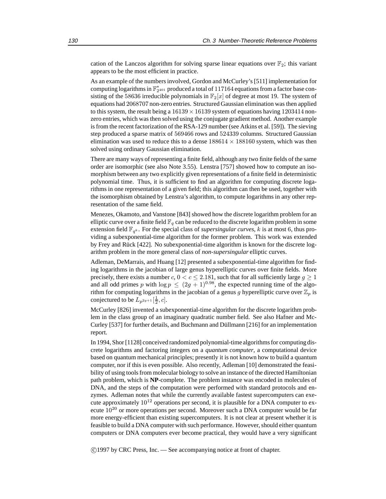cation of the Lanczos algorithm for solving sparse linear equations over  $\mathbb{F}_2$ ; this variant appears to be the most efficient in practice.

As an example of the numbers involved, Gordon and McCurley's [511] implementation for computing logarithms in  $\mathbb{F}_{2^{401}}^*$  produced a total of  $117164$  equations from a factor base consisting of the 58636 irreducible polynomials in  $\mathbb{F}_2[x]$  of degree at most 19. The system of equations had 2068707 non-zero entries. Structured Gaussian elimination was then applied to this system, the result being a  $16139 \times 16139$  system of equations having 1203414 nonzero entries, which was then solved using the conjugate gradient method. Another example is from the recent factorization of the RSA-129 number (see Atkins et al. [59]). The sieving step produced a sparse matrix of 569466 rows and 524339 columns. Structured Gaussian elimination was used to reduce this to a dense  $188614 \times 188160$  system, which was then solved using ordinary Gaussian elimination.

There are many ways of representing a finite field, although any two finite fields of the same order are isomorphic (see also Note 3.55). Lenstra [757] showed how to compute an isomorphism between any two explicitly given representations of a finite field in deterministic polynomial time. Thus, it is sufficient to find an algorithm for computing discrete logarithms in one representation of a given field; this algorithm can then be used, together with the isomorphism obtained by Lenstra's algorithm, to compute logarithms in any other representation of the same field.

Menezes, Okamoto, and Vanstone [843] showed how the discrete logarithm problem for an elliptic curve over a finite field  $\mathbb{F}_q$  can be reduced to the discrete logarithm problem in some extension field  $\mathbb{F}_{q^k}$ . For the special class of *supersingular curves*, k is at most 6, thus providing a subexponential-time algorithm for the former problem. This work was extended by Frey and Rück [422]. No subexponential-time algorithm is known for the discrete logarithm problem in the more general class of *non-supersingular* elliptic curves.

Adleman, DeMarrais, and Huang [12] presented a subexponential-time algorithm for finding logarithms in the jacobian of large genus hyperelliptic curves over finite fields. More precisely, there exists a number c,  $0 < c \le 2.181$ , such that for all sufficiently large  $g \ge 1$ and all odd primes p with  $\log p \leq (2g + 1)^{0.98}$ , the expected running time of the algorithm for computing logarithms in the jacobian of a genus g hyperelliptic curve over  $\mathbb{Z}_p$  is conjectured to be  $L_{p^{2g+1}}[\frac{1}{2}, c]$ .

McCurley [826] invented a subexponential-time algorithm for the discrete logarithm problem in the class group of an imaginary quadratic number field. See also Hafner and Mc-Curley [537] for further details, and Buchmann and Düllmann [216] for an implementation report.

In 1994, Shor [1128] conceived randomized polynomial-time algorithms for computing discrete logarithms and factoring integers on a *quantum computer*, a computational device based on quantum mechanical principles; presently it is not known how to build a quantum computer, nor if this is even possible. Also recently, Adleman [10] demonstrated the feasibility of using tools from molecular biology to solve an instance of the directed Hamiltonian path problem, which is **NP**-complete. The problem instance was encoded in molecules of DNA, and the steps of the computation were performed with standard protocols and enzymes. Adleman notes that while the currently available fastest supercomputers can execute approximately  $10^{12}$  operations per second, it is plausible for a DNA computer to execute  $10^{20}$  or more operations per second. Moreover such a DNA computer would be far more energy-efficient than existing supercomputers. It is not clear at present whether it is feasible to build a DNA computer with such performance. However, should either quantum computers or DNA computers ever become practical, they would have a very significant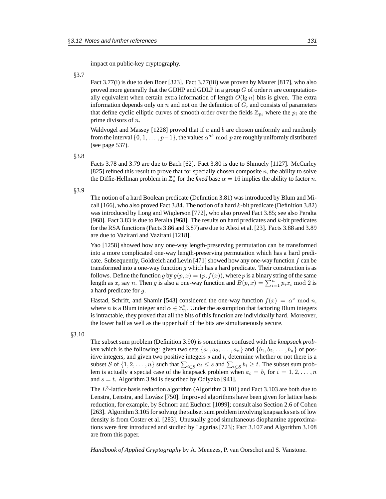impact on public-key cryptography.

#### §3.7

Fact 3.77(i) is due to den Boer [323]. Fact 3.77(iii) was proven by Maurer [817], who also proved more generally that the GDHP and GDLP in a group  $G$  of order  $n$  are computationally equivalent when certain extra information of length  $O(\lg n)$  bits is given. The extra information depends only on  $n$  and not on the definition of  $G$ , and consists of parameters that define cyclic elliptic curves of smooth order over the fields  $\mathbb{Z}_{p_i}$  where the  $p_i$  are the prime divisors of n.

Waldvogel and Massey  $[1228]$  proved that if a and b are chosen uniformly and randomly from the interval  $\{0, 1, \ldots, p-1\}$ , the values  $\alpha^{ab}$  mod p are roughly uniformly distributed (see page 537).

§3.8

Facts 3.78 and 3.79 are due to Bach [62]. Fact 3.80 is due to Shmuely [1127]. McCurley [825] refined this result to prove that for specially chosen composite  $n$ , the ability to solve the Diffie-Hellman problem in  $\mathbb{Z}_n^*$  for the *fixed* base  $\alpha = 16$  implies the ability to factor *n*.

#### §3.9

The notion of a hard Boolean predicate (Definition 3.81) was introduced by Blum and Micali [166], who also proved Fact 3.84. The notion of a hard k-bit predicate (Definition 3.82) was introduced by Long and Wigderson [772], who also proved Fact 3.85; see also Peralta [968]. Fact 3.83 is due to Peralta [968]. The results on hard predicates and  $k$ -bit predicates for the RSA functions (Facts 3.86 and 3.87) are due to Alexi et al. [23]. Facts 3.88 and 3.89 are due to Vazirani and Vazirani [1218].

Yao [1258] showed how any one-way length-preserving permutation can be transformed into a more complicated one-way length-preserving permutation which has a hard predicate. Subsequently, Goldreich and Levin [471] showed how any one-way function f can be transformed into a one-way function  $g$  which has a hard predicate. Their construction is as follows. Define the function g by  $g(p, x)=(p, f(x))$ , where p is a binary string of the same length as x, say n. Then g is also a one-way function and  $B(p, x) = \sum_{i=1}^{n} p_i x_i \text{ mod } 2$  is a hard predicate for g.

Håstad, Schrift, and Shamir [543] considered the one-way function  $f(x) = \alpha^x \mod n$ , where *n* is a Blum integer and  $\alpha \in \mathbb{Z}_n^*$ . Under the assumption that factoring Blum integers is intractable, they proved that all the bits of this function are individually hard. Moreover, the lower half as well as the upper half of the bits are simultaneously secure.

### §3.10

The subset sum problem (Definition 3.90) is sometimes confused with the *knapsack problem* which is the following: given two sets  $\{a_1, a_2, \ldots, a_n\}$  and  $\{b_1, b_2, \ldots, b_n\}$  of positive integers, and given two positive integers  $s$  and  $t$ , determine whether or not there is a subset S of  $\{1, 2, \ldots, n\}$  such that  $\sum_{i \in S} a_i \leq s$  and  $\sum_{i \in S} b_i \geq t$ . The subset sum problem is actually a special case of the knapsack problem when  $a_i = b_i$  for  $i = 1, 2, \ldots, n$ and  $s = t$ . Algorithm 3.94 is described by Odlyzko [941].

The  $L^3$ -lattice basis reduction algorithm (Algorithm 3.101) and Fact 3.103 are both due to Lenstra, Lenstra, and Lovász [750]. Improved algorithms have been given for lattice basis reduction, for example, by Schnorr and Euchner [1099]; consult also Section 2.6 of Cohen [263]. Algorithm 3.105 for solving the subset sum problem involving knapsacks sets of low density is from Coster et al. [283]. Unusually good simultaneous diophantine approximations were first introduced and studied by Lagarias [723]; Fact 3.107 and Algorithm 3.108 are from this paper.